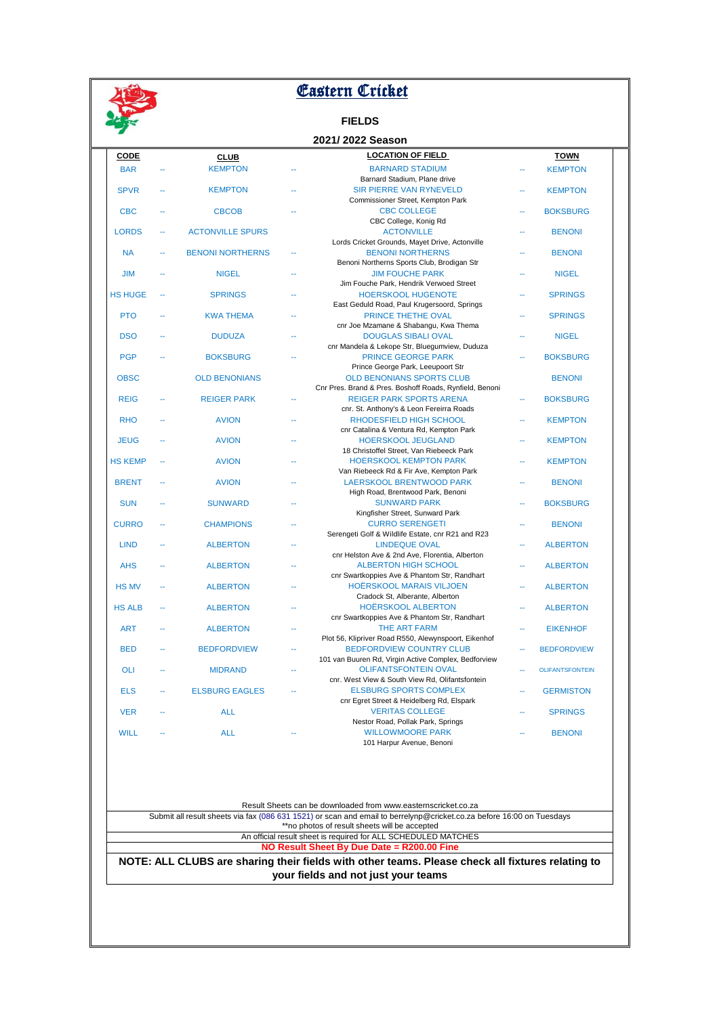

# **Eastern Cricket**

## **FIELDS**

|                |        |                         |    | 2021/2022 Season                                                    |    |                        |
|----------------|--------|-------------------------|----|---------------------------------------------------------------------|----|------------------------|
| <b>CODE</b>    |        | <b>CLUB</b>             |    | <b>LOCATION OF FIELD</b>                                            |    | <b>TOWN</b>            |
| <b>BAR</b>     |        | <b>KEMPTON</b>          |    | <b>BARNARD STADIUM</b>                                              |    | <b>KEMPTON</b>         |
|                |        |                         |    | Barnard Stadium, Plane drive                                        |    |                        |
| <b>SPVR</b>    | $\sim$ | <b>KEMPTON</b>          |    | SIR PIERRE VAN RYNEVELD                                             |    | <b>KEMPTON</b>         |
|                |        |                         |    | Commissioner Street, Kempton Park                                   |    |                        |
| <b>CBC</b>     |        | <b>CBCOB</b>            |    | <b>CBC COLLEGE</b>                                                  |    | <b>BOKSBURG</b>        |
|                |        |                         |    | CBC College, Konig Rd                                               |    |                        |
| <b>LORDS</b>   | u.     | <b>ACTONVILLE SPURS</b> |    | <b>ACTONVILLE</b>                                                   | Ξ. | <b>BENONI</b>          |
|                |        |                         |    | Lords Cricket Grounds, Mayet Drive, Actonville                      |    |                        |
| <b>NA</b>      |        | <b>BENONI NORTHERNS</b> | u. | <b>BENONI NORTHERNS</b>                                             |    | <b>BENONI</b>          |
|                |        |                         |    | Benoni Northerns Sports Club, Brodigan Str                          |    |                        |
| <b>JIM</b>     |        | <b>NIGEL</b>            |    | <b>JIM FOUCHE PARK</b><br>Jim Fouche Park, Hendrik Verwoed Street   |    | <b>NIGEL</b>           |
| <b>HS HUGE</b> |        | <b>SPRINGS</b>          |    | <b>HOERSKOOL HUGENOTE</b>                                           |    | <b>SPRINGS</b>         |
|                |        |                         |    | East Geduld Road, Paul Krugersoord, Springs                         |    |                        |
| <b>PTO</b>     |        | <b>KWA THEMA</b>        |    | PRINCE THETHE OVAL                                                  |    | <b>SPRINGS</b>         |
|                |        |                         |    | cnr Joe Mzamane & Shabangu, Kwa Thema                               |    |                        |
| <b>DSO</b>     |        | <b>DUDUZA</b>           |    | <b>DOUGLAS SIBALI OVAL</b>                                          |    | <b>NIGEL</b>           |
|                |        |                         |    | cnr Mandela & Lekope Str, Bluegumview, Duduza                       |    |                        |
| <b>PGP</b>     |        | <b>BOKSBURG</b>         |    | <b>PRINCE GEORGE PARK</b>                                           | ä. | <b>BOKSBURG</b>        |
|                |        |                         |    | Prince George Park, Leeupoort Str                                   |    |                        |
| <b>OBSC</b>    |        | <b>OLD BENONIANS</b>    |    | <b>OLD BENONIANS SPORTS CLUB</b>                                    |    | <b>BENONI</b>          |
|                |        |                         |    | Cnr Pres. Brand & Pres. Boshoff Roads, Rynfield, Benoni             |    |                        |
| <b>REIG</b>    |        | <b>REIGER PARK</b>      |    | <b>REIGER PARK SPORTS ARENA</b>                                     | u. | <b>BOKSBURG</b>        |
|                |        |                         |    | cnr. St. Anthony's & Leon Fereirra Roads                            |    |                        |
| <b>RHO</b>     |        | <b>AVION</b>            |    | RHODESFIELD HIGH SCHOOL                                             |    | <b>KEMPTON</b>         |
|                |        |                         |    | cnr Catalina & Ventura Rd, Kempton Park                             |    |                        |
| <b>JEUG</b>    |        | <b>AVION</b>            |    | HOERSKOOL JEUGLAND                                                  |    | <b>KEMPTON</b>         |
|                |        |                         |    | 18 Christoffel Street, Van Riebeeck Park                            |    |                        |
| <b>HS KEMP</b> |        | <b>AVION</b>            |    | <b>HOERSKOOL KEMPTON PARK</b>                                       |    | <b>KEMPTON</b>         |
|                |        |                         |    | Van Riebeeck Rd & Fir Ave, Kempton Park                             |    |                        |
| <b>BRENT</b>   |        | <b>AVION</b>            |    | <b>LAERSKOOL BRENTWOOD PARK</b>                                     |    | <b>BENONI</b>          |
| <b>SUN</b>     |        |                         |    | High Road, Brentwood Park, Benoni<br><b>SUNWARD PARK</b>            |    |                        |
|                |        | <b>SUNWARD</b>          |    | Kingfisher Street, Sunward Park                                     |    | <b>BOKSBURG</b>        |
| <b>CURRO</b>   |        | <b>CHAMPIONS</b>        |    | <b>CURRO SERENGETI</b>                                              |    | <b>BENONI</b>          |
|                |        |                         |    | Serengeti Golf & Wildlife Estate, cnr R21 and R23                   |    |                        |
| <b>LIND</b>    |        | <b>ALBERTON</b>         |    | <b>LINDEQUE OVAL</b>                                                |    | <b>ALBERTON</b>        |
|                |        |                         |    | cnr Helston Ave & 2nd Ave, Florentia, Alberton                      |    |                        |
| <b>AHS</b>     |        | <b>ALBERTON</b>         |    | <b>ALBERTON HIGH SCHOOL</b>                                         |    | <b>ALBERTON</b>        |
|                |        |                         |    | cnr Swartkoppies Ave & Phantom Str, Randhart                        |    |                        |
| <b>HS MV</b>   |        | <b>ALBERTON</b>         |    | <b>HOËRSKOOL MARAIS VILJOEN</b>                                     |    | <b>ALBERTON</b>        |
|                |        |                         |    | Cradock St, Alberante, Alberton                                     |    |                        |
| <b>HS ALB</b>  |        | <b>ALBERTON</b>         |    | <b>HOËRSKOOL ALBERTON</b>                                           |    | <b>ALBERTON</b>        |
|                |        |                         |    | cnr Swartkoppies Ave & Phantom Str, Randhart                        |    |                        |
| <b>ART</b>     |        | <b>ALBERTON</b>         |    | THE ART FARM                                                        |    | <b>EIKENHOF</b>        |
|                |        |                         |    | Plot 56, Klipriver Road R550, Alewynspoort, Eikenhof                |    |                        |
| <b>BED</b>     |        | <b>BEDFORDVIEW</b>      |    | <b>BEDFORDVIEW COUNTRY CLUB</b>                                     |    | <b>BEDFORDVIEW</b>     |
|                |        |                         |    | 101 van Buuren Rd, Virgin Active Complex, Bedforview                |    |                        |
| <b>OLI</b>     |        | <b>MIDRAND</b>          |    | <b>OLIFANTSFONTEIN OVAL</b>                                         |    | <b>OLIFANTSFONTEIN</b> |
|                |        |                         |    | cnr. West View & South View Rd, Olifantsfontein                     |    |                        |
| <b>ELS</b>     |        | <b>ELSBURG EAGLES</b>   |    | <b>ELSBURG SPORTS COMPLEX</b>                                       |    | <b>GERMISTON</b>       |
|                |        |                         |    | cnr Egret Street & Heidelberg Rd, Elspark<br><b>VERITAS COLLEGE</b> |    |                        |
| <b>VER</b>     |        | <b>ALL</b>              |    | Nestor Road, Pollak Park, Springs                                   |    | <b>SPRINGS</b>         |
| <b>WILL</b>    |        | <b>ALL</b>              |    | <b>WILLOWMOORE PARK</b>                                             |    | <b>BENONI</b>          |
|                |        |                         |    | 101 Harpur Avenue, Benoni                                           |    |                        |
|                |        |                         |    |                                                                     |    |                        |

Result Sheets can be downloaded from www.easternscricket.co.za

Submit all result sheets via fax (086 631 1521) or scan and email to berrelynp@cricket.co.za before 16:00 on Tuesdays \*\*no photos of result sheets will be accepted

> An official result sheet is required for ALL SCHEDULED MATCHES **NO Result Sheet By Due Date = R200.00 Fine**

**NOTE: ALL CLUBS are sharing their fields with other teams. Please check all fixtures relating to your fields and not just your teams**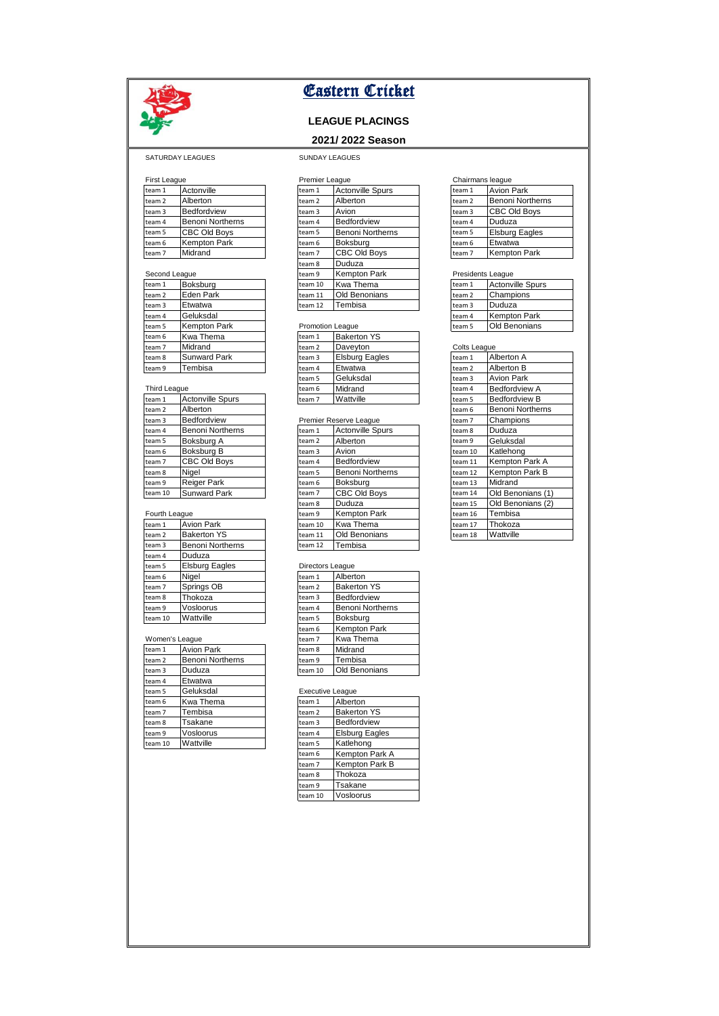

## **LEAGUE PLACINGS**

## **2021/ 2022 Season**

### SATURDAY LEAGUES SUNDAY LEAGUES

| First Leadue |                         | Premier Leadue |                         | Chairmans leadue |                       |
|--------------|-------------------------|----------------|-------------------------|------------------|-----------------------|
| team 1       | Actonville              | team 1         | <b>Actonville Spurs</b> | team 1           | <b>Avion Park</b>     |
| team 2       | Alberton                | team 2         | Alberton                | team 2           | Benoni Northerns      |
| team 3       | <b>Bedfordview</b>      | team 3         | Avion                   | team 3           | <b>CBC Old Boys</b>   |
| team 4       | <b>Benoni Northerns</b> | team 4         | <b>Bedfordview</b>      | team 4           | Duduza                |
| team 5       | <b>CBC Old Boys</b>     | team 5         | Benoni Northerns        | team 5           | <b>Elsburg Eagles</b> |
| team 6       | <b>Kempton Park</b>     | team 6         | Boksburg                | team 6           | Etwatwa               |
| team 7       | Midrand                 | team 7         | <b>CBC Old Bovs</b>     | team 7           | <b>Kempton Park</b>   |

| Occoria League |                     | tcan J  | INGIIIWWII LAIN         |  | Theoretics Feadac |                       |
|----------------|---------------------|---------|-------------------------|--|-------------------|-----------------------|
| team 1         | Boksburg            | team 10 | Kwa Thema               |  | team 1            | <b>Actonville Spu</b> |
| team 2         | Eden Park           | team 11 | <b>Old Benonians</b>    |  | team 2            | Champions             |
| team 3         | Etwatwa             | team 12 | Tembisa                 |  | team 3            | Duduza                |
| team 4         | Geluksdal           |         |                         |  | team 4            | <b>Kempton Park</b>   |
| team 5         | <b>Kempton Park</b> |         | <b>Promotion League</b> |  | team 5            | Old Benonians         |
| team 6         | Kwa Thema           | team 1  | <b>Bakerton YS</b>      |  |                   |                       |
| team 7         | Midrand             | team 2  | Daveyton                |  | Colts League      |                       |
| team 8         | <b>Sunward Park</b> | team 3  | <b>Elsburg Eagles</b>   |  | team 1            | Alberton A            |
| team 9         | Tembisa             | team 4  | Etwatwa                 |  | team 2            | Alberton B            |

| team 1  | <b>Actonville Spurs</b> | team 7 | Wattville               | team 5  | <b>Bedfordview B</b>    |
|---------|-------------------------|--------|-------------------------|---------|-------------------------|
| team 2  | Alberton                |        |                         | team 6  | <b>Benoni Northerns</b> |
| team 3  | Bedfordview             |        | Premier Reserve League  | team 7  | Champions               |
| team 4  | <b>Benoni Northerns</b> | team 1 | <b>Actonville Spurs</b> | team 8  | Duduza                  |
| team 5  | Boksburg A              | team 2 | Alberton                | team 9  | Geluksdal               |
| team 6  | Boksburg B              | team 3 | Avion                   | team 10 | Katlehong               |
| team 7  | CBC Old Boys            | team 4 | <b>Bedfordview</b>      | team 11 | Kempton Park A          |
| team 8  | Niael                   | team 5 | Benoni Northerns        | team 12 | <b>Kempton Park B</b>   |
| team 9  | <b>Reiger Park</b>      | team 6 | Boksburg                | team 13 | Midrand                 |
| team 10 | <b>Sunward Park</b>     | team 7 | <b>CBC Old Boys</b>     | team 14 | Old Benonians (1        |

### Fourth League

| .       |                         |                  | .       |                         |
|---------|-------------------------|------------------|---------|-------------------------|
| team 1  | <b>Avion Park</b>       |                  | team 10 | Kwa Thema               |
| team 2  | <b>Bakerton YS</b>      |                  | team 11 | Old Benonians           |
| team 3  | <b>Benoni Northerns</b> |                  | team 12 | Tembisa                 |
| team 4  | Duduza                  |                  |         |                         |
| team 5  | <b>Elsburg Eagles</b>   | Directors League |         |                         |
| team 6  | Nigel                   |                  | team 1  | Alberton                |
| team 7  | Springs OB              |                  | team 2  | <b>Bakerton YS</b>      |
| team 8  | Thokoza                 |                  | team 3  | Bedfordview             |
| team 9  | Vosloorus               |                  | team 4  | <b>Benoni Northerns</b> |
| team 10 | Wattville               |                  | team 5  | Boksburg                |

## Women's League

| team 1  | <b>Avion Park</b>       | team 8                  | Midrand               |
|---------|-------------------------|-------------------------|-----------------------|
| team 2  | <b>Benoni Northerns</b> | team 9                  | Tembisa               |
| team 3  | Duduza                  | team 10                 | <b>Old Benonians</b>  |
| team 4  | Etwatwa                 |                         |                       |
| team 5  | Geluksdal               | <b>Executive League</b> |                       |
| team 6  | Kwa Thema               | team 1                  | Alberton              |
| team 7  | Tembisa                 | team 2                  | <b>Bakerton YS</b>    |
| team 8  | Tsakane                 | team 3                  | Bedfordview           |
| team 9  | Vosloorus               | team 4                  | <b>Elsburg Eagles</b> |
| team 10 | Wattville               | team 5                  | Katlehong             |

| First League      |                         |         | Premier League          |        |  | Chairmans league        |  |  |
|-------------------|-------------------------|---------|-------------------------|--------|--|-------------------------|--|--|
| team <sub>1</sub> | Actonville              | team 1  | <b>Actonville Spurs</b> | team 1 |  | <b>Avion Park</b>       |  |  |
| team 2            | Alberton                | team 2  | Alberton                | team 2 |  | <b>Benoni Northerr</b>  |  |  |
| team 3            | Bedfordview             | team 3  | Avion                   | team 3 |  | <b>CBC Old Boys</b>     |  |  |
| team 4            | <b>Benoni Northerns</b> | team 4  | Bedfordview             | team 4 |  | Duduza                  |  |  |
| team 5            | CBC Old Boys            | team 5  | <b>Benoni Northerns</b> | team 5 |  | <b>Elsburg Eagles</b>   |  |  |
| team 6            | Kempton Park            | team 6  | Boksburg                | team 6 |  | Etwatwa                 |  |  |
| team 7            | Midrand                 | team 7  | CBC Old Boys            | team 7 |  | <b>Kempton Park</b>     |  |  |
|                   |                         | team 8  | Duduza                  |        |  |                         |  |  |
| Second League     |                         | team 9  | <b>Kempton Park</b>     |        |  | Presidents League       |  |  |
| team 1            | Boksburg                | team 10 | Kwa Thema               | team 1 |  | <b>Actonville Spurs</b> |  |  |
| team 2            | Eden Park               | team 11 | <b>Old Benonians</b>    | team 2 |  | Champions               |  |  |
| team 3            | Etwatwa                 | team 12 | Tembisa                 | team 3 |  | Duduza                  |  |  |

### **Promotion League**

| team 6       | Kwa Thema               | team 1 | <b>Bakerton YS</b>    |              |                   |
|--------------|-------------------------|--------|-----------------------|--------------|-------------------|
| team 7       | Midrand                 | team 2 | Daveyton              | Colts League |                   |
| team 8       | <b>Sunward Park</b>     | team 3 | <b>Elsburg Eagles</b> | team 1       | Alberton A        |
| team 9       | Tembisa                 | team 4 | Etwatwa               | team 2       | Alberton B        |
|              |                         | team 5 | Geluksdal             | team 3       | <b>Avion Park</b> |
| Third League |                         | team 6 | Midrand               | team 4       | Bedfordvie        |
| team 1       | <b>Actonville Spurs</b> | team 7 | Wattville             | team 5       | Bedfordvie        |
|              |                         |        |                       |              |                   |

### Premier Reserve League

| team 4        | <b>Benoni Northerns</b> | team 1  | <b>Actonville Spurs</b> | team 8  | Duduza            |
|---------------|-------------------------|---------|-------------------------|---------|-------------------|
| team 5        | Boksburg A              | team 2  | Alberton                | team 9  | Geluksdal         |
| team 6        | Boksburg B              | team 3  | Avion                   | team 10 | Katlehong         |
| team 7        | CBC Old Boys            | team 4  | Bedfordview             | team 11 | Kempton Park A    |
| team 8        | Niael                   | team 5  | <b>Benoni Northerns</b> | team 12 | Kempton Park B    |
| team 9        | Reiger Park             | team 6  | Boksburg                | team 13 | Midrand           |
| team 10       | <b>Sunward Park</b>     | team 7  | CBC Old Boys            | team 14 | Old Benonians (1) |
|               |                         | team 8  | Duduza                  | team 15 | Old Benonians (2) |
| Fourth League |                         | team 9  | Kempton Park            | team 16 | Tembisa           |
| team 1        | <b>Avion Park</b>       | team 10 | Kwa Thema               | team 17 | Thokoza           |
| team 2        | <b>Bakerton YS</b>      | team 11 | <b>Old Benonians</b>    | team 18 | Wattville         |
| team 3        | <b>Benoni Northerns</b> | team 12 | Tembisa                 |         |                   |

### Directors League

| <b>DITOOLOID LOUGUO</b> |                         |  |  |  |
|-------------------------|-------------------------|--|--|--|
| team 1                  | Alberton                |  |  |  |
| team <sub>2</sub>       | <b>Bakerton YS</b>      |  |  |  |
| team 3                  | Bedfordview             |  |  |  |
| team 4                  | <b>Benoni Northerns</b> |  |  |  |
| team 5                  | Boksburg                |  |  |  |
| team 6                  | <b>Kempton Park</b>     |  |  |  |
| team 7                  | Kwa Thema               |  |  |  |
| team 8                  | Midrand                 |  |  |  |
| team 9                  | Tembisa                 |  |  |  |
| team 10                 | <b>Old Benonians</b>    |  |  |  |

### Executive League

| LYCOMING LOUGHO   |                       |  |  |  |
|-------------------|-----------------------|--|--|--|
| team 1            | Alberton              |  |  |  |
| team <sub>2</sub> | <b>Bakerton YS</b>    |  |  |  |
| team <sub>3</sub> | Bedfordview           |  |  |  |
| team 4            | <b>Elsburg Eagles</b> |  |  |  |
| team 5            | Katlehong             |  |  |  |
| team 6            | Kempton Park A        |  |  |  |
| team <sub>7</sub> | Kempton Park B        |  |  |  |
| team 8            | Thokoza               |  |  |  |
| team 9            | Tsakane               |  |  |  |
| team 10           | Vosloorus             |  |  |  |

| team 1  | <b>Avion Park</b>       |  |  |  |
|---------|-------------------------|--|--|--|
| team 2  | <b>Benoni Northerns</b> |  |  |  |
| team 3  | <b>CBC Old Boys</b>     |  |  |  |
| team 4  | Duduza                  |  |  |  |
| team 5  | <b>Elsburg Eagles</b>   |  |  |  |
| team 6  | Etwatwa                 |  |  |  |
| $t2m$ 7 | Kompton Park            |  |  |  |

| team 1 | <b>Actonville Spurs</b> |
|--------|-------------------------|
| team 2 | Champions               |
| team 3 | Duduza                  |
| team 4 | <b>Kempton Park</b>     |
| team 5 | Old Benonians           |

| <b>Colts League</b> |                         |
|---------------------|-------------------------|
| team 1              | Alberton A              |
| team 2              | Alberton B              |
| team 3              | <b>Avion Park</b>       |
| team 4              | <b>Bedfordview A</b>    |
| team 5              | <b>Bedfordview B</b>    |
| team 6              | <b>Benoni Northerns</b> |
| team 7              | Champions               |
| team 8              | Duduza                  |
| team 9              | Geluksdal               |
| team 10             | Katlehong               |
| team 11             | Kempton Park A          |
| team 12             | Kempton Park B          |
| team 13             | Midrand                 |
| team 14             | Old Benonians (1)       |
| team 15             | Old Benonians (2)       |
| team 16             | Tembisa                 |
| team 17             | Thokoza                 |
| team 18             | Wattville               |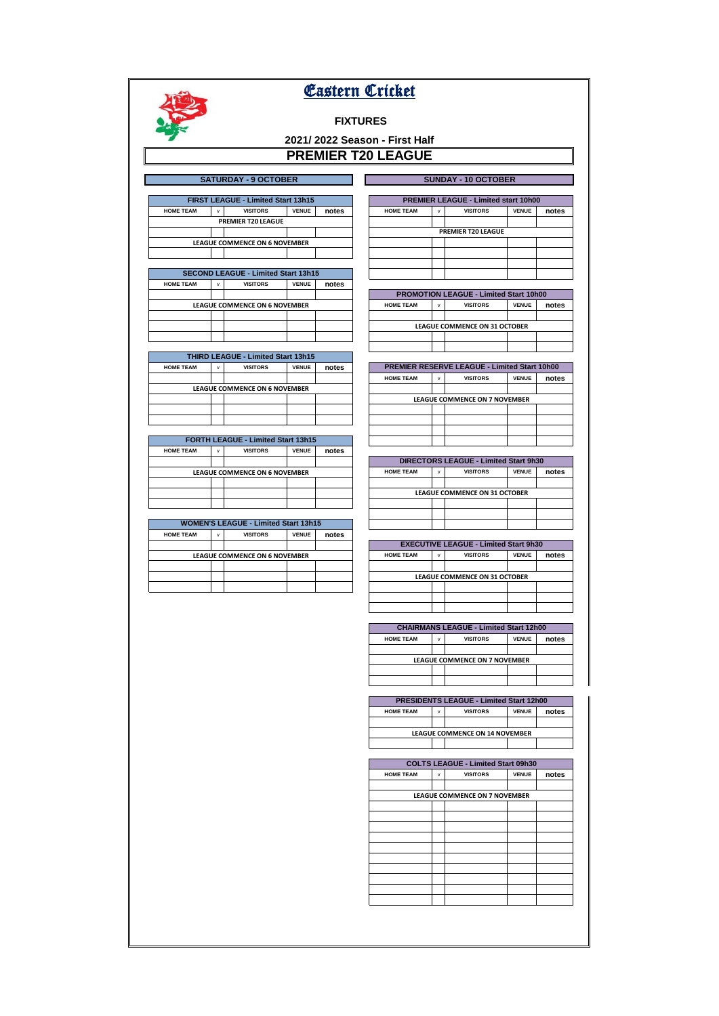# **Eastern Cricket**

# **FIXTURES**

# **2021/ 2022 Season - First Half PREMIER T20 LEAGUE**

| <b>SATURDAY - 9 OCTOBER</b>               |              |                 |              |       |  |
|-------------------------------------------|--------------|-----------------|--------------|-------|--|
| <b>FIRST LEAGUE - Limited Start 13h15</b> |              |                 |              |       |  |
| <b>HOME TEAM</b>                          | $\mathbf{v}$ | <b>VISITORS</b> | <b>VENUE</b> | notes |  |
| <b>PREMIER T20 LEAGUE</b>                 |              |                 |              |       |  |
|                                           |              |                 |              |       |  |
| <b>LEAGUE COMMENCE ON 6 NOVEMBER</b>      |              |                 |              |       |  |
|                                           |              |                 |              |       |  |

| <b>SECOND LEAGUE - Limited Start 13h15</b> |                                      |                 |              |       |  |  |
|--------------------------------------------|--------------------------------------|-----------------|--------------|-------|--|--|
| <b>HOME TEAM</b>                           | $\mathbf{v}$                         | <b>VISITORS</b> | <b>VENUE</b> | notes |  |  |
|                                            |                                      |                 |              |       |  |  |
|                                            | <b>LEAGUE COMMENCE ON 6 NOVEMBER</b> |                 |              |       |  |  |
|                                            |                                      |                 |              |       |  |  |
|                                            |                                      |                 |              |       |  |  |
|                                            |                                      |                 |              |       |  |  |

| <b>THIRD LEAGUE - Limited Start 13h15</b> |              |                 |              |       |  |  |
|-------------------------------------------|--------------|-----------------|--------------|-------|--|--|
| <b>HOME TEAM</b>                          | $\mathbf{v}$ | <b>VISITORS</b> | <b>VENUE</b> | notes |  |  |
|                                           |              |                 |              |       |  |  |
| <b>LEAGUE COMMENCE ON 6 NOVEMBER</b>      |              |                 |              |       |  |  |
|                                           |              |                 |              |       |  |  |
|                                           |              |                 |              |       |  |  |
|                                           |              |                 |              |       |  |  |

| <b>FORTH LEAGUE - Limited Start 13h15</b> |                                      |                 |              |       |  |  |
|-------------------------------------------|--------------------------------------|-----------------|--------------|-------|--|--|
| <b>HOME TEAM</b>                          | v                                    | <b>VISITORS</b> | <b>VENUE</b> | notes |  |  |
|                                           |                                      |                 |              |       |  |  |
|                                           | <b>LEAGUE COMMENCE ON 6 NOVEMBER</b> |                 |              |       |  |  |
|                                           |                                      |                 |              |       |  |  |
|                                           |                                      |                 |              |       |  |  |
|                                           |                                      |                 |              |       |  |  |

| <b>WOMEN'S LEAGUE - Limited Start 13h15</b> |              |                 |              |       |  |  |
|---------------------------------------------|--------------|-----------------|--------------|-------|--|--|
| <b>HOME TEAM</b>                            | $\mathbf{v}$ | <b>VISITORS</b> | <b>VENUE</b> | notes |  |  |
|                                             |              |                 |              |       |  |  |
| <b>LEAGUE COMMENCE ON 6 NOVEMBER</b>        |              |                 |              |       |  |  |
|                                             |              |                 |              |       |  |  |
|                                             |              |                 |              |       |  |  |
|                                             |              |                 |              |       |  |  |

| <b>PREMIER T20 LEAGUE</b>                     |   |                                      |              |       |  |
|-----------------------------------------------|---|--------------------------------------|--------------|-------|--|
|                                               |   |                                      |              |       |  |
|                                               |   |                                      |              |       |  |
|                                               |   |                                      |              |       |  |
|                                               |   |                                      |              |       |  |
|                                               |   |                                      |              |       |  |
| <b>PROMOTION LEAGUE - Limited Start 10h00</b> |   |                                      |              |       |  |
|                                               |   |                                      |              |       |  |
| <b>HOME TEAM</b>                              | v | <b>VISITORS</b>                      | <b>VENUE</b> | notes |  |
|                                               |   |                                      |              |       |  |
|                                               |   | <b>LEAGUE COMMENCE ON 31 OCTOBER</b> |              |       |  |
|                                               |   |                                      |              |       |  |

**HOME TEAM** v **VISITORS VENUE notes** 

**SATURDAY - 9 OCTOBER SUNDAY - 10 OCTOBER FIRST LEAGUE - Limited Start 13h15 PREMIER LEAGUE - Limited start 10h00**

| <b>PREMIER RESERVE LEAGUE - Limited Start 10h00</b> |                                      |                 |              |       |  |  |  |
|-----------------------------------------------------|--------------------------------------|-----------------|--------------|-------|--|--|--|
| <b>HOME TEAM</b>                                    | v                                    | <b>VISITORS</b> | <b>VENUE</b> | notes |  |  |  |
|                                                     |                                      |                 |              |       |  |  |  |
|                                                     | <b>LEAGUE COMMENCE ON 7 NOVEMBER</b> |                 |              |       |  |  |  |
|                                                     |                                      |                 |              |       |  |  |  |
|                                                     |                                      |                 |              |       |  |  |  |
|                                                     |                                      |                 |              |       |  |  |  |
|                                                     |                                      |                 |              |       |  |  |  |

| <b>DIRECTORS LEAGUE - Limited Start 9h30</b> |                               |                 |              |       |  |  |
|----------------------------------------------|-------------------------------|-----------------|--------------|-------|--|--|
| <b>HOME TEAM</b>                             | $\mathbf{v}$                  | <b>VISITORS</b> | <b>VENUE</b> | notes |  |  |
|                                              |                               |                 |              |       |  |  |
|                                              | LEAGUE COMMENCE ON 31 OCTOBER |                 |              |       |  |  |
|                                              |                               |                 |              |       |  |  |
|                                              |                               |                 |              |       |  |  |
|                                              |                               |                 |              |       |  |  |

| <b>EXECUTIVE LEAGUE - Limited Start 9h30</b> |                                      |                 |              |       |  |  |  |
|----------------------------------------------|--------------------------------------|-----------------|--------------|-------|--|--|--|
| <b>HOME TEAM</b>                             | $\mathbf{v}$                         | <b>VISITORS</b> | <b>VENUE</b> | notes |  |  |  |
|                                              |                                      |                 |              |       |  |  |  |
|                                              | <b>LEAGUE COMMENCE ON 31 OCTOBER</b> |                 |              |       |  |  |  |
|                                              |                                      |                 |              |       |  |  |  |
|                                              |                                      |                 |              |       |  |  |  |
|                                              |                                      |                 |              |       |  |  |  |

| <b>CHAIRMANS LEAGUE - Limited Start 12h00</b> |              |                 |              |       |  |  |  |
|-----------------------------------------------|--------------|-----------------|--------------|-------|--|--|--|
| <b>HOME TEAM</b>                              | $\mathbf{v}$ | <b>VISITORS</b> | <b>VENUE</b> | notes |  |  |  |
|                                               |              |                 |              |       |  |  |  |
| <b>LEAGUE COMMENCE ON 7 NOVEMBER</b>          |              |                 |              |       |  |  |  |
|                                               |              |                 |              |       |  |  |  |
|                                               |              |                 |              |       |  |  |  |

| <b>PRESIDENTS LEAGUE - Limited Start 12h00</b> |              |                 |              |       |  |  |
|------------------------------------------------|--------------|-----------------|--------------|-------|--|--|
| <b>HOME TEAM</b>                               | $\mathbf{v}$ | <b>VISITORS</b> | <b>VENUE</b> | notes |  |  |
|                                                |              |                 |              |       |  |  |
| <b>LEAGUE COMMENCE ON 14 NOVEMBER</b>          |              |                 |              |       |  |  |
|                                                |              |                 |              |       |  |  |
|                                                |              |                 |              |       |  |  |
| <b>COLTS LEAGUE - Limited Start 09h30</b>      |              |                 |              |       |  |  |
| <b>HOME TEAM</b>                               | v            | <b>VISITORS</b> | <b>VENUE</b> | notes |  |  |

| LEAGUE COMMENCE ON 7 NOVEMBER |  |  |  |  |  |  |  |
|-------------------------------|--|--|--|--|--|--|--|
|                               |  |  |  |  |  |  |  |
|                               |  |  |  |  |  |  |  |
|                               |  |  |  |  |  |  |  |
|                               |  |  |  |  |  |  |  |
|                               |  |  |  |  |  |  |  |
|                               |  |  |  |  |  |  |  |
|                               |  |  |  |  |  |  |  |
|                               |  |  |  |  |  |  |  |
|                               |  |  |  |  |  |  |  |
|                               |  |  |  |  |  |  |  |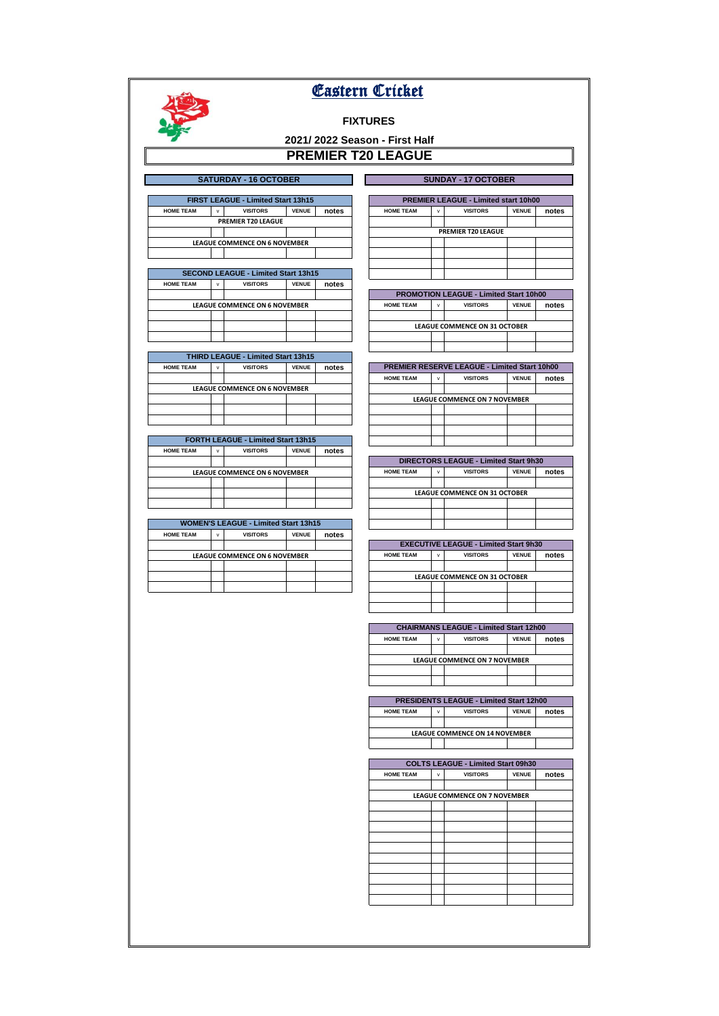# **FIXTURES**

# **2021/ 2022 Season - First Half PREMIER T20 LEAGUE**

|                  | <b>SATURDAY - 16 OCTOBER</b> |                                      |              |       |  |                  |              | <b>SUNDAY - 17 OCTOBER</b>                  |              |       |
|------------------|------------------------------|--------------------------------------|--------------|-------|--|------------------|--------------|---------------------------------------------|--------------|-------|
|                  |                              |                                      |              |       |  |                  |              |                                             |              |       |
|                  |                              | FIRST LEAGUE - Limited Start 13h15   |              |       |  |                  |              | <b>PREMIER LEAGUE - Limited start 10h00</b> |              |       |
| <b>HOME TEAM</b> | $\mathsf{v}$                 | <b>VISITORS</b>                      | <b>VENUE</b> | notes |  | <b>HOME TEAM</b> | $\mathsf{v}$ | <b>VISITORS</b>                             | <b>VENUE</b> | notes |
|                  |                              | PREMIER T20 LEAGUE                   |              |       |  |                  |              |                                             |              |       |
|                  |                              |                                      |              |       |  |                  |              | <b>PREMIER T20 LEAGUE</b>                   |              |       |
|                  |                              | <b>LEAGUE COMMENCE ON 6 NOVEMBER</b> |              |       |  |                  |              |                                             |              |       |
|                  |                              |                                      |              |       |  |                  |              |                                             |              |       |
|                  |                              |                                      |              |       |  |                  |              |                                             |              |       |

| <b>SECOND LEAGUE - Limited Start 13h15</b> |   |                 |              |       |  |  |  |
|--------------------------------------------|---|-----------------|--------------|-------|--|--|--|
| <b>HOME TEAM</b>                           | v | <b>VISITORS</b> | <b>VENUE</b> | notes |  |  |  |
|                                            |   |                 |              |       |  |  |  |
| <b>LEAGUE COMMENCE ON 6 NOVEMBER</b>       |   |                 |              |       |  |  |  |
|                                            |   |                 |              |       |  |  |  |
|                                            |   |                 |              |       |  |  |  |
|                                            |   |                 |              |       |  |  |  |
|                                            |   |                 |              |       |  |  |  |

| <b>THIRD LEAGUE - Limited Start 13h15</b> |   |                                      |              |       |  |  |
|-------------------------------------------|---|--------------------------------------|--------------|-------|--|--|
| <b>HOME TEAM</b>                          | v | <b>VISITORS</b>                      | <b>VENUE</b> | notes |  |  |
|                                           |   |                                      |              |       |  |  |
|                                           |   | <b>LEAGUE COMMENCE ON 6 NOVEMBER</b> |              |       |  |  |
|                                           |   |                                      |              |       |  |  |
|                                           |   |                                      |              |       |  |  |
|                                           |   |                                      |              |       |  |  |

| <b>FORTH LEAGUE - Limited Start 13h15</b> |                                      |                 |              |       |  |  |  |  |
|-------------------------------------------|--------------------------------------|-----------------|--------------|-------|--|--|--|--|
| <b>HOME TEAM</b>                          | v                                    | <b>VISITORS</b> | <b>VENUE</b> | notes |  |  |  |  |
|                                           |                                      |                 |              |       |  |  |  |  |
|                                           | <b>LEAGUE COMMENCE ON 6 NOVEMBER</b> |                 |              |       |  |  |  |  |
|                                           |                                      |                 |              |       |  |  |  |  |
|                                           |                                      |                 |              |       |  |  |  |  |
|                                           |                                      |                 |              |       |  |  |  |  |

| <b>WOMEN'S LEAGUE - Limited Start 13h15</b> |   |                 |              |       |  |  |  |
|---------------------------------------------|---|-----------------|--------------|-------|--|--|--|
| <b>HOME TEAM</b>                            | v | <b>VISITORS</b> | <b>VENUE</b> | notes |  |  |  |
|                                             |   |                 |              |       |  |  |  |
| <b>LEAGUE COMMENCE ON 6 NOVEMBER</b>        |   |                 |              |       |  |  |  |
|                                             |   |                 |              |       |  |  |  |
|                                             |   |                 |              |       |  |  |  |
|                                             |   |                 |              |       |  |  |  |

| <b>PREMIER T20 LEAGUE</b> |   |                                        |              |       |  |  |  |  |
|---------------------------|---|----------------------------------------|--------------|-------|--|--|--|--|
|                           |   |                                        |              |       |  |  |  |  |
|                           |   |                                        |              |       |  |  |  |  |
|                           |   |                                        |              |       |  |  |  |  |
|                           |   |                                        |              |       |  |  |  |  |
|                           |   |                                        |              |       |  |  |  |  |
|                           |   |                                        |              |       |  |  |  |  |
|                           |   | PROMOTION LEAGUE - Limited Start 10h00 |              |       |  |  |  |  |
| <b>HOME TEAM</b>          | v | <b>VISITORS</b>                        | <b>VENUE</b> | notes |  |  |  |  |
|                           |   |                                        |              |       |  |  |  |  |
|                           |   | <b>LEAGUE COMMENCE ON 31 OCTOBER</b>   |              |       |  |  |  |  |

| <b>PREMIER RESERVE LEAGUE - Limited Start 10h00</b> |              |                                      |              |       |  |  |  |
|-----------------------------------------------------|--------------|--------------------------------------|--------------|-------|--|--|--|
| <b>HOME TEAM</b>                                    | $\mathbf{v}$ | <b>VISITORS</b>                      | <b>VENUE</b> | notes |  |  |  |
|                                                     |              |                                      |              |       |  |  |  |
|                                                     |              | <b>LEAGUE COMMENCE ON 7 NOVEMBER</b> |              |       |  |  |  |
|                                                     |              |                                      |              |       |  |  |  |
|                                                     |              |                                      |              |       |  |  |  |
|                                                     |              |                                      |              |       |  |  |  |
|                                                     |              |                                      |              |       |  |  |  |

| <b>DIRECTORS LEAGUE - Limited Start 9h30</b> |                               |                 |              |       |  |  |  |  |
|----------------------------------------------|-------------------------------|-----------------|--------------|-------|--|--|--|--|
| <b>HOME TEAM</b>                             | $\mathbf{v}$                  | <b>VISITORS</b> | <b>VENUE</b> | notes |  |  |  |  |
|                                              |                               |                 |              |       |  |  |  |  |
|                                              | LEAGUE COMMENCE ON 31 OCTOBER |                 |              |       |  |  |  |  |
|                                              |                               |                 |              |       |  |  |  |  |
|                                              |                               |                 |              |       |  |  |  |  |
|                                              |                               |                 |              |       |  |  |  |  |

| <b>EXECUTIVE LEAGUE - Limited Start 9h30</b>                                 |  |                                      |  |  |  |  |
|------------------------------------------------------------------------------|--|--------------------------------------|--|--|--|--|
| <b>VENUE</b><br>notes<br><b>VISITORS</b><br><b>HOME TEAM</b><br>$\mathbf{v}$ |  |                                      |  |  |  |  |
|                                                                              |  |                                      |  |  |  |  |
|                                                                              |  | <b>LEAGUE COMMENCE ON 31 OCTOBER</b> |  |  |  |  |
|                                                                              |  |                                      |  |  |  |  |
|                                                                              |  |                                      |  |  |  |  |
|                                                                              |  |                                      |  |  |  |  |

| <b>CHAIRMANS LEAGUE - Limited Start 12h00</b> |              |                               |              |       |  |
|-----------------------------------------------|--------------|-------------------------------|--------------|-------|--|
| <b>HOME TEAM</b>                              | $\mathbf{v}$ | <b>VISITORS</b>               | <b>VENUE</b> | notes |  |
|                                               |              |                               |              |       |  |
|                                               |              | LEAGUE COMMENCE ON 7 NOVEMBER |              |       |  |
|                                               |              |                               |              |       |  |
|                                               |              |                               |              |       |  |

| <b>PRESIDENTS LEAGUE - Limited Start 12h00</b> |              |                 |              |       |  |
|------------------------------------------------|--------------|-----------------|--------------|-------|--|
| <b>HOME TEAM</b>                               | $\mathbf{v}$ | <b>VISITORS</b> | <b>VENUE</b> | notes |  |
|                                                |              |                 |              |       |  |
| <b>LEAGUE COMMENCE ON 14 NOVEMBER</b>          |              |                 |              |       |  |
|                                                |              |                 |              |       |  |

| COLTS LEAGUE - Limited Start 09h30 |   |                               |              |       |  |
|------------------------------------|---|-------------------------------|--------------|-------|--|
| <b>HOME TEAM</b>                   | v | <b>VISITORS</b>               | <b>VENUE</b> | notes |  |
|                                    |   |                               |              |       |  |
|                                    |   | LEAGUE COMMENCE ON 7 NOVEMBER |              |       |  |
|                                    |   |                               |              |       |  |
|                                    |   |                               |              |       |  |
|                                    |   |                               |              |       |  |
|                                    |   |                               |              |       |  |
|                                    |   |                               |              |       |  |
|                                    |   |                               |              |       |  |
|                                    |   |                               |              |       |  |
|                                    |   |                               |              |       |  |
|                                    |   |                               |              |       |  |
|                                    |   |                               |              |       |  |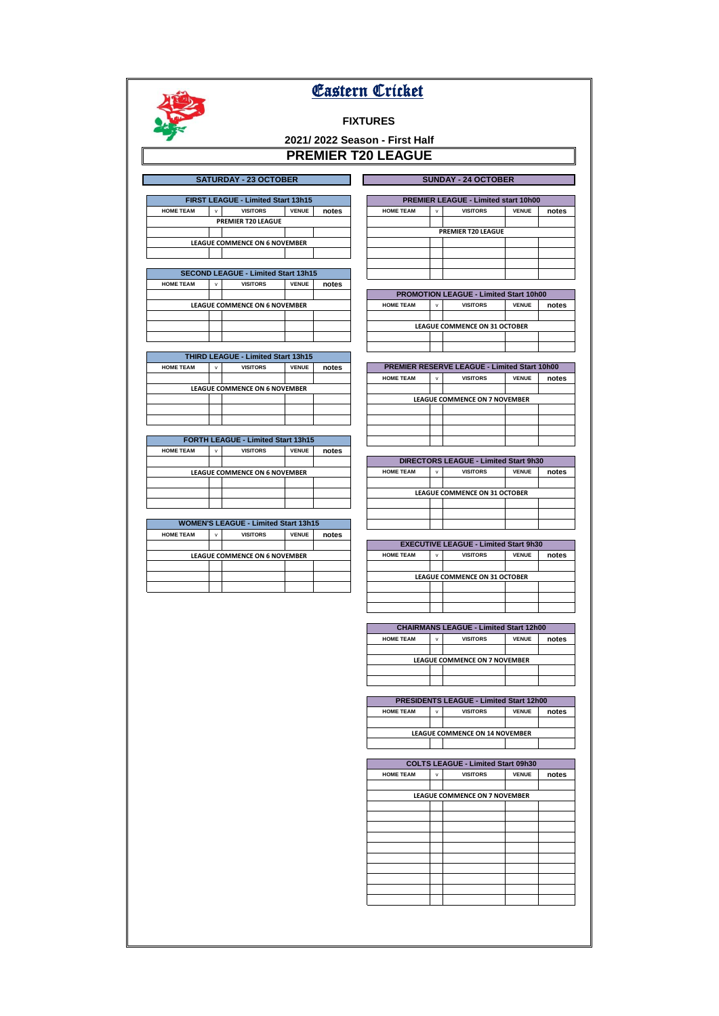# **FIXTURES**

# <u>PROMININ</u><br>EAGUE **2021/ 2022 Season - First Half**

|                              | <b>PREMIER T20 LE</b> |  |
|------------------------------|-----------------------|--|
|                              |                       |  |
| <b>SATURDAY - 23 OCTOBER</b> |                       |  |

|  | <b>SUNDAY - 24 OCTOBER</b> |  |
|--|----------------------------|--|

|                                      | <b>FIRST LEAGUE - Limited Start 13h15</b> |                 |              |       |  |  |
|--------------------------------------|-------------------------------------------|-----------------|--------------|-------|--|--|
| <b>HOME TEAM</b>                     | v                                         | <b>VISITORS</b> | <b>VENUE</b> | notes |  |  |
|                                      | <b>PREMIER T20 LEAGUE</b>                 |                 |              |       |  |  |
|                                      |                                           |                 |              |       |  |  |
| <b>LEAGUE COMMENCE ON 6 NOVEMBER</b> |                                           |                 |              |       |  |  |
|                                      |                                           |                 |              |       |  |  |

| <b>SECOND LEAGUE - Limited Start 13h15</b> |                 |              |                                      |  |  |
|--------------------------------------------|-----------------|--------------|--------------------------------------|--|--|
| $\mathbf{v}$                               | <b>VISITORS</b> | <b>VENUE</b> | notes                                |  |  |
|                                            |                 |              |                                      |  |  |
|                                            |                 |              |                                      |  |  |
|                                            |                 |              |                                      |  |  |
|                                            |                 |              |                                      |  |  |
|                                            |                 |              |                                      |  |  |
|                                            |                 |              | <b>LEAGUE COMMENCE ON 6 NOVEMBER</b> |  |  |

| <b>THIRD LEAGUE - Limited Start 13h15</b> |   |                                      |              |       |  |
|-------------------------------------------|---|--------------------------------------|--------------|-------|--|
| <b>HOME TEAM</b>                          | v | <b>VISITORS</b>                      | <b>VENUE</b> | notes |  |
|                                           |   |                                      |              |       |  |
|                                           |   | <b>LEAGUE COMMENCE ON 6 NOVEMBER</b> |              |       |  |
|                                           |   |                                      |              |       |  |
|                                           |   |                                      |              |       |  |
|                                           |   |                                      |              |       |  |

| <b>FORTH LEAGUE - Limited Start 13h15</b> |   |                                      |              |       |  |
|-------------------------------------------|---|--------------------------------------|--------------|-------|--|
| <b>HOME TEAM</b>                          | v | <b>VISITORS</b>                      | <b>VENUE</b> | notes |  |
|                                           |   |                                      |              |       |  |
|                                           |   | <b>LEAGUE COMMENCE ON 6 NOVEMBER</b> |              |       |  |
|                                           |   |                                      |              |       |  |
|                                           |   |                                      |              |       |  |
|                                           |   |                                      |              |       |  |

| <b>WOMEN'S LEAGUE - Limited Start 13h15</b> |              |                                      |              |       |  |
|---------------------------------------------|--------------|--------------------------------------|--------------|-------|--|
| <b>HOME TEAM</b>                            | $\mathbf{v}$ | <b>VISITORS</b>                      | <b>VENUE</b> | notes |  |
|                                             |              |                                      |              |       |  |
|                                             |              | <b>LEAGUE COMMENCE ON 6 NOVEMBER</b> |              |       |  |
|                                             |              |                                      |              |       |  |
|                                             |              |                                      |              |       |  |
|                                             |              |                                      |              |       |  |

| <b>FIRST LEAGUE - Limited Start 13h15</b>  |              |                                      |              |       |  |                  | <b>PREMIER LEAGUE - Limited start 10h00</b> |                           |              |       |
|--------------------------------------------|--------------|--------------------------------------|--------------|-------|--|------------------|---------------------------------------------|---------------------------|--------------|-------|
| <b>HOME TEAM</b>                           | $\mathsf{v}$ | <b>VISITORS</b>                      | <b>VENUE</b> | notes |  | <b>HOME TEAM</b> | v                                           | <b>VISITORS</b>           | <b>VENUE</b> | notes |
|                                            |              | PREMIER T20 LEAGUE                   |              |       |  |                  |                                             |                           |              |       |
|                                            |              |                                      |              |       |  |                  |                                             | <b>PREMIER T20 LEAGUE</b> |              |       |
|                                            |              | <b>LEAGUE COMMENCE ON 6 NOVEMBER</b> |              |       |  |                  |                                             |                           |              |       |
|                                            |              |                                      |              |       |  |                  |                                             |                           |              |       |
|                                            |              |                                      |              |       |  |                  |                                             |                           |              |       |
| <b>SECOND LEAGUE - Limited Start 13h15</b> |              |                                      |              |       |  |                  |                                             |                           |              |       |

| <b>PROMOTION LEAGUE - Limited Start 10h00</b> |              |                                      |       |  |  |  |  |  |  |  |
|-----------------------------------------------|--------------|--------------------------------------|-------|--|--|--|--|--|--|--|
| <b>HOME TEAM</b>                              | $\mathbf{v}$ | <b>VISITORS</b>                      | notes |  |  |  |  |  |  |  |
|                                               |              |                                      |       |  |  |  |  |  |  |  |
|                                               |              | <b>LEAGUE COMMENCE ON 31 OCTOBER</b> |       |  |  |  |  |  |  |  |
|                                               |              |                                      |       |  |  |  |  |  |  |  |
|                                               |              |                                      |       |  |  |  |  |  |  |  |

| <b>PREMIER RESERVE LEAGUE - Limited Start 10h00</b> |                                      |  |  |  |  |  |  |  |  |  |  |
|-----------------------------------------------------|--------------------------------------|--|--|--|--|--|--|--|--|--|--|
| <b>HOME TEAM</b>                                    | <b>VISITORS</b><br><b>VENUE</b><br>v |  |  |  |  |  |  |  |  |  |  |
|                                                     |                                      |  |  |  |  |  |  |  |  |  |  |
| <b>LEAGUE COMMENCE ON 7 NOVEMBER</b>                |                                      |  |  |  |  |  |  |  |  |  |  |
|                                                     |                                      |  |  |  |  |  |  |  |  |  |  |
|                                                     |                                      |  |  |  |  |  |  |  |  |  |  |
|                                                     |                                      |  |  |  |  |  |  |  |  |  |  |
|                                                     |                                      |  |  |  |  |  |  |  |  |  |  |

| <b>DIRECTORS LEAGUE - Limited Start 9h30</b> |       |  |  |  |  |  |  |  |  |
|----------------------------------------------|-------|--|--|--|--|--|--|--|--|
| <b>HOME TEAM</b>                             | notes |  |  |  |  |  |  |  |  |
|                                              |       |  |  |  |  |  |  |  |  |
| <b>LEAGUE COMMENCE ON 31 OCTOBER</b>         |       |  |  |  |  |  |  |  |  |
|                                              |       |  |  |  |  |  |  |  |  |
|                                              |       |  |  |  |  |  |  |  |  |
|                                              |       |  |  |  |  |  |  |  |  |

| <b>EXECUTIVE LEAGUE - Limited Start 9h30</b>                      |  |                                      |  |  |  |  |  |  |  |
|-------------------------------------------------------------------|--|--------------------------------------|--|--|--|--|--|--|--|
| notes<br><b>VENUE</b><br><b>VISITORS</b><br><b>HOME TEAM</b><br>v |  |                                      |  |  |  |  |  |  |  |
|                                                                   |  |                                      |  |  |  |  |  |  |  |
|                                                                   |  | <b>LEAGUE COMMENCE ON 31 OCTOBER</b> |  |  |  |  |  |  |  |
|                                                                   |  |                                      |  |  |  |  |  |  |  |
|                                                                   |  |                                      |  |  |  |  |  |  |  |
|                                                                   |  |                                      |  |  |  |  |  |  |  |

| <b>CHAIRMANS LEAGUE - Limited Start 12h00</b> |   |                                      |              |       |  |  |  |  |  |
|-----------------------------------------------|---|--------------------------------------|--------------|-------|--|--|--|--|--|
| <b>HOME TEAM</b>                              | v | <b>VISITORS</b>                      | <b>VENUE</b> | notes |  |  |  |  |  |
|                                               |   |                                      |              |       |  |  |  |  |  |
|                                               |   | <b>LEAGUE COMMENCE ON 7 NOVEMBER</b> |              |       |  |  |  |  |  |
|                                               |   |                                      |              |       |  |  |  |  |  |
|                                               |   |                                      |              |       |  |  |  |  |  |
|                                               |   |                                      |              |       |  |  |  |  |  |

| <b>PRESIDENTS LEAGUE - Limited Start 12h00</b> |   |                                       |              |       |  |  |  |  |
|------------------------------------------------|---|---------------------------------------|--------------|-------|--|--|--|--|
| <b>HOME TEAM</b>                               | v | <b>VISITORS</b>                       | <b>VENUE</b> | notes |  |  |  |  |
|                                                |   |                                       |              |       |  |  |  |  |
|                                                |   | <b>LEAGUE COMMENCE ON 14 NOVEMBER</b> |              |       |  |  |  |  |
|                                                |   |                                       |              |       |  |  |  |  |

| <b>COLTS LEAGUE - Limited Start 09h30</b> |   |                 |              |       |  |  |  |  |  |  |  |  |
|-------------------------------------------|---|-----------------|--------------|-------|--|--|--|--|--|--|--|--|
| <b>HOME TEAM</b>                          | v | <b>VISITORS</b> | <b>VENUE</b> | notes |  |  |  |  |  |  |  |  |
|                                           |   |                 |              |       |  |  |  |  |  |  |  |  |
| LEAGUE COMMENCE ON 7 NOVEMBER             |   |                 |              |       |  |  |  |  |  |  |  |  |
|                                           |   |                 |              |       |  |  |  |  |  |  |  |  |
|                                           |   |                 |              |       |  |  |  |  |  |  |  |  |
|                                           |   |                 |              |       |  |  |  |  |  |  |  |  |
|                                           |   |                 |              |       |  |  |  |  |  |  |  |  |
|                                           |   |                 |              |       |  |  |  |  |  |  |  |  |
|                                           |   |                 |              |       |  |  |  |  |  |  |  |  |
|                                           |   |                 |              |       |  |  |  |  |  |  |  |  |
|                                           |   |                 |              |       |  |  |  |  |  |  |  |  |
|                                           |   |                 |              |       |  |  |  |  |  |  |  |  |
|                                           |   |                 |              |       |  |  |  |  |  |  |  |  |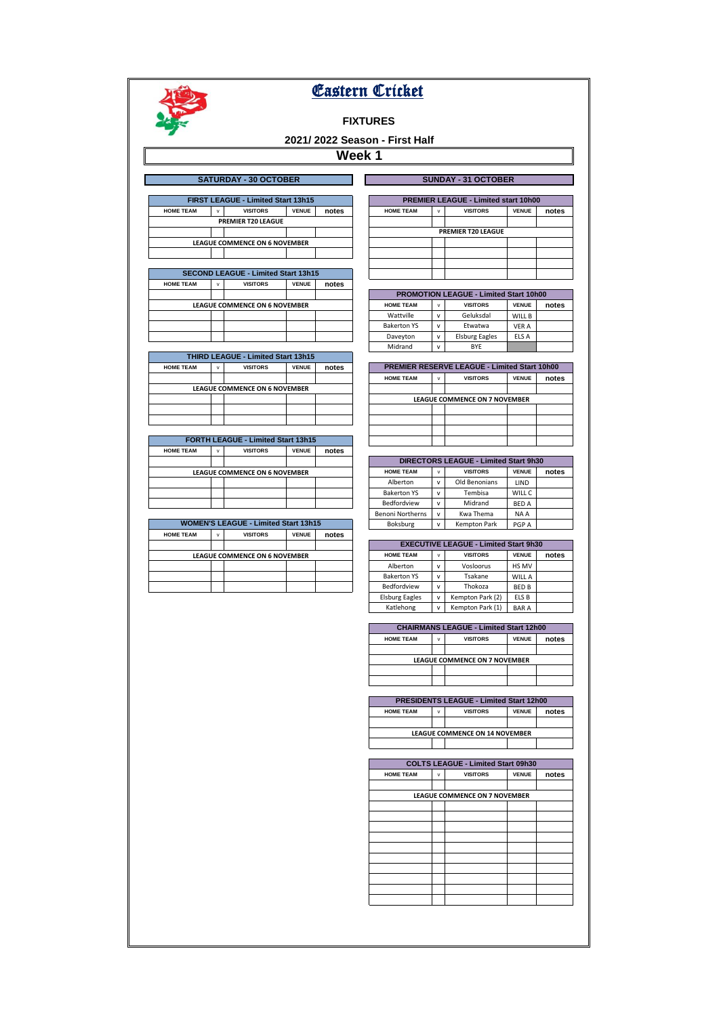

# **FIXTURES**

# **2021/ 2022 Season - First Half**

|                  |              | <b>SATURDAY - 30 OCTOBER</b>               |              |       |                    |              | <b>SUNDAY - 31 OCTOBER</b>                          |              |       |
|------------------|--------------|--------------------------------------------|--------------|-------|--------------------|--------------|-----------------------------------------------------|--------------|-------|
|                  |              |                                            |              |       |                    |              |                                                     |              |       |
|                  |              | FIRST LEAGUE - Limited Start 13h15         |              |       |                    |              | <b>PREMIER LEAGUE - Limited start 10h00</b>         |              |       |
| <b>HOME TEAM</b> | $\mathsf{v}$ | <b>VISITORS</b>                            | <b>VENUE</b> | notes | <b>HOME TEAM</b>   | $\mathsf{v}$ | <b>VISITORS</b>                                     | <b>VENUE</b> | notes |
|                  |              | PREMIER T20 LEAGUE                         |              |       |                    |              |                                                     |              |       |
|                  |              |                                            |              |       |                    |              | <b>PREMIER T20 LEAGUE</b>                           |              |       |
|                  |              | <b>LEAGUE COMMENCE ON 6 NOVEMBER</b>       |              |       |                    |              |                                                     |              |       |
|                  |              |                                            |              |       |                    |              |                                                     |              |       |
|                  |              |                                            |              |       |                    |              |                                                     |              |       |
|                  |              | <b>SECOND LEAGUE - Limited Start 13h15</b> |              |       |                    |              |                                                     |              |       |
| <b>HOME TEAM</b> | v            | <b>VISITORS</b>                            | <b>VENUE</b> | notes |                    |              |                                                     |              |       |
|                  |              |                                            |              |       |                    |              | <b>PROMOTION LEAGUE - Limited Start 10h00</b>       |              |       |
|                  |              | <b>LEAGUE COMMENCE ON 6 NOVEMBER</b>       |              |       | <b>HOME TEAM</b>   | $\mathsf{v}$ | <b>VISITORS</b>                                     | <b>VENUE</b> | notes |
|                  |              |                                            |              |       | Wattville          | $\mathsf{v}$ | Geluksdal                                           | WILL B       |       |
|                  |              |                                            |              |       | <b>Bakerton YS</b> | $\mathsf{v}$ | Etwatwa                                             | <b>VER A</b> |       |
|                  |              |                                            |              |       | Daveyton           | v            | <b>Elsburg Eagles</b>                               | ELS A        |       |
|                  |              |                                            |              |       | Midrand            | v            | <b>BYE</b>                                          |              |       |
|                  |              | <b>THIRD LEAGUE - Limited Start 13h15</b>  |              |       |                    |              |                                                     |              |       |
| <b>HOME TEAM</b> | v            | <b>VISITORS</b>                            | <b>VENUE</b> | notes |                    |              | <b>PREMIER RESERVE LEAGUE - Limited Start 10h00</b> |              |       |
|                  |              |                                            |              |       | <b>HOME TEAM</b>   | $\mathsf{v}$ | <b>VISITORS</b>                                     | <b>VENUE</b> | notes |
|                  |              | <b>LEAGUE COMMENCE ON 6 NOVEMBER</b>       |              |       |                    |              |                                                     |              |       |
|                  |              |                                            |              |       |                    |              | <b>LEAGUE COMMENCE ON 7 NOVEMBER</b>                |              |       |
|                  |              |                                            |              |       |                    |              |                                                     |              |       |
|                  |              |                                            |              |       |                    |              |                                                     |              |       |
|                  |              |                                            |              |       |                    |              |                                                     |              |       |
|                  |              | <b>FORTH LEAGUE - Limited Start 13h15</b>  |              |       |                    |              |                                                     |              |       |
| <b>HOME TEAM</b> | v            | <b>VISITORS</b>                            | <b>VENUE</b> | notes |                    |              |                                                     |              |       |
|                  |              |                                            |              |       |                    |              | <b>DIRECTORS LEAGUE - Limited Start 9h30</b>        |              |       |
|                  |              | <b>LEAGUE COMMENCE ON 6 NOVEMBER</b>       |              |       | <b>HOME TEAM</b>   | $\mathsf{v}$ | <b>VISITORS</b>                                     | <b>VENUE</b> | notes |
|                  |              |                                            |              |       | Alberton           | v            | Old Benonians                                       | LIND         |       |
|                  |              |                                            |              |       | <b>Bakerton YS</b> | $\mathsf{v}$ | Tembisa                                             | WILL C       |       |

| <b>WOMEN'S LEAGUE - Limited Start 13h15</b> |              |                                      |              |       |  |  |  |  |  |  |
|---------------------------------------------|--------------|--------------------------------------|--------------|-------|--|--|--|--|--|--|
| <b>HOME TEAM</b>                            | $\mathbf{v}$ | <b>VISITORS</b>                      | <b>VENUE</b> | notes |  |  |  |  |  |  |
|                                             |              |                                      |              |       |  |  |  |  |  |  |
|                                             |              | <b>LEAGUE COMMENCE ON 6 NOVEMBER</b> |              |       |  |  |  |  |  |  |
|                                             |              |                                      |              |       |  |  |  |  |  |  |
|                                             |              |                                      |              |       |  |  |  |  |  |  |
|                                             |              |                                      |              |       |  |  |  |  |  |  |

| <b>PREMIER LEAGUE - Limited start 10h00</b> |   |                 |              |       |  |  |  |  |  |  |
|---------------------------------------------|---|-----------------|--------------|-------|--|--|--|--|--|--|
| <b>HOME TEAM</b>                            | v | <b>VISITORS</b> | <b>VENUE</b> | notes |  |  |  |  |  |  |
|                                             |   |                 |              |       |  |  |  |  |  |  |
| <b>PREMIER T20 LEAGUE</b>                   |   |                 |              |       |  |  |  |  |  |  |
|                                             |   |                 |              |       |  |  |  |  |  |  |
|                                             |   |                 |              |       |  |  |  |  |  |  |
|                                             |   |                 |              |       |  |  |  |  |  |  |
|                                             |   |                 |              |       |  |  |  |  |  |  |

| <b>PROMOTION LEAGUE - Limited Start 10h00</b> |              |                       |              |       |  |  |  |  |  |  |  |
|-----------------------------------------------|--------------|-----------------------|--------------|-------|--|--|--|--|--|--|--|
| <b>HOME TEAM</b>                              | $\mathbf{v}$ | <b>VISITORS</b>       | <b>VENUE</b> | notes |  |  |  |  |  |  |  |
| Wattville                                     | v            | Geluksdal             | WILL B       |       |  |  |  |  |  |  |  |
| <b>Bakerton YS</b>                            | v            | Etwatwa               | <b>VER A</b> |       |  |  |  |  |  |  |  |
| Daveyton                                      | v            | <b>Elsburg Eagles</b> | ELS A        |       |  |  |  |  |  |  |  |
| Midrand                                       | $\mathbf{v}$ | <b>RYF</b>            |              |       |  |  |  |  |  |  |  |

|                  | <b>PREMIER RESERVE LEAGUE - Limited Start 10h00</b> |                 |              |       |  |  |  |  |  |  |  |  |
|------------------|-----------------------------------------------------|-----------------|--------------|-------|--|--|--|--|--|--|--|--|
| <b>HOME TEAM</b> | v                                                   | <b>VISITORS</b> | <b>VENUE</b> | notes |  |  |  |  |  |  |  |  |
|                  |                                                     |                 |              |       |  |  |  |  |  |  |  |  |
|                  | <b>LEAGUE COMMENCE ON 7 NOVEMBER</b>                |                 |              |       |  |  |  |  |  |  |  |  |
|                  |                                                     |                 |              |       |  |  |  |  |  |  |  |  |
|                  |                                                     |                 |              |       |  |  |  |  |  |  |  |  |
|                  |                                                     |                 |              |       |  |  |  |  |  |  |  |  |
|                  |                                                     |                 |              |       |  |  |  |  |  |  |  |  |
|                  |                                                     |                 |              |       |  |  |  |  |  |  |  |  |

| <b>DIRECTORS LEAGUE - Limited Start 9h30</b> |              |                     |              |       |  |  |  |  |  |  |  |
|----------------------------------------------|--------------|---------------------|--------------|-------|--|--|--|--|--|--|--|
| <b>HOME TEAM</b>                             | v            | <b>VISITORS</b>     | <b>VENUE</b> | notes |  |  |  |  |  |  |  |
| Alberton                                     | v            | Old Benonians       | LIND         |       |  |  |  |  |  |  |  |
| <b>Bakerton YS</b>                           | $\mathbf{v}$ | Tembisa             | WILL C       |       |  |  |  |  |  |  |  |
| Bedfordview                                  | v            | Midrand             | <b>BED A</b> |       |  |  |  |  |  |  |  |
| <b>Benoni Northerns</b>                      | v            | Kwa Thema           | NA A         |       |  |  |  |  |  |  |  |
| Boksburg                                     | v            | <b>Kempton Park</b> | PGP A        |       |  |  |  |  |  |  |  |

| <b>EXECUTIVE LEAGUE - Limited Start 9h30</b> |              |                  |               |       |  |  |  |  |  |  |  |
|----------------------------------------------|--------------|------------------|---------------|-------|--|--|--|--|--|--|--|
| <b>HOME TEAM</b>                             | v            | <b>VISITORS</b>  | <b>VENUE</b>  | notes |  |  |  |  |  |  |  |
| Alberton                                     | $\mathsf{v}$ | Vosloorus        | HS MV         |       |  |  |  |  |  |  |  |
| <b>Bakerton YS</b>                           | v            | Tsakane          | <b>WILL A</b> |       |  |  |  |  |  |  |  |
| Bedfordview                                  | v            | Thokoza          | <b>BED B</b>  |       |  |  |  |  |  |  |  |
| <b>Elsburg Eagles</b>                        | v            | Kempton Park (2) | ELS B         |       |  |  |  |  |  |  |  |
| Katlehong                                    | v            | Kempton Park (1) | <b>BARA</b>   |       |  |  |  |  |  |  |  |

| <b>CHAIRMANS LEAGUE - Limited Start 12h00</b>                                |  |  |                                      |  |  |  |  |  |  |  |  |
|------------------------------------------------------------------------------|--|--|--------------------------------------|--|--|--|--|--|--|--|--|
| <b>VENUE</b><br><b>VISITORS</b><br><b>HOME TEAM</b><br>notes<br>$\mathbf{v}$ |  |  |                                      |  |  |  |  |  |  |  |  |
|                                                                              |  |  |                                      |  |  |  |  |  |  |  |  |
|                                                                              |  |  |                                      |  |  |  |  |  |  |  |  |
|                                                                              |  |  |                                      |  |  |  |  |  |  |  |  |
|                                                                              |  |  |                                      |  |  |  |  |  |  |  |  |
|                                                                              |  |  | <b>LEAGUE COMMENCE ON 7 NOVEMBER</b> |  |  |  |  |  |  |  |  |

| <b>PRESIDENTS LEAGUE - Limited Start 12h00</b> |                                       |  |  |  |  |  |  |  |  |
|------------------------------------------------|---------------------------------------|--|--|--|--|--|--|--|--|
| <b>HOME TEAM</b>                               | <b>VISITORS</b><br>$\mathbf{v}$       |  |  |  |  |  |  |  |  |
|                                                |                                       |  |  |  |  |  |  |  |  |
|                                                | <b>LEAGUE COMMENCE ON 14 NOVEMBER</b> |  |  |  |  |  |  |  |  |
|                                                |                                       |  |  |  |  |  |  |  |  |

| COLTS LEAGUE - Limited Start 09h30   |              |                 |       |  |  |  |  |  |  |  |
|--------------------------------------|--------------|-----------------|-------|--|--|--|--|--|--|--|
| <b>HOME TEAM</b>                     | $\mathsf{v}$ | <b>VISITORS</b> | notes |  |  |  |  |  |  |  |
|                                      |              |                 |       |  |  |  |  |  |  |  |
| <b>LEAGUE COMMENCE ON 7 NOVEMBER</b> |              |                 |       |  |  |  |  |  |  |  |
|                                      |              |                 |       |  |  |  |  |  |  |  |
|                                      |              |                 |       |  |  |  |  |  |  |  |
|                                      |              |                 |       |  |  |  |  |  |  |  |
|                                      |              |                 |       |  |  |  |  |  |  |  |
|                                      |              |                 |       |  |  |  |  |  |  |  |
|                                      |              |                 |       |  |  |  |  |  |  |  |
|                                      |              |                 |       |  |  |  |  |  |  |  |
|                                      |              |                 |       |  |  |  |  |  |  |  |
|                                      |              |                 |       |  |  |  |  |  |  |  |
|                                      |              |                 |       |  |  |  |  |  |  |  |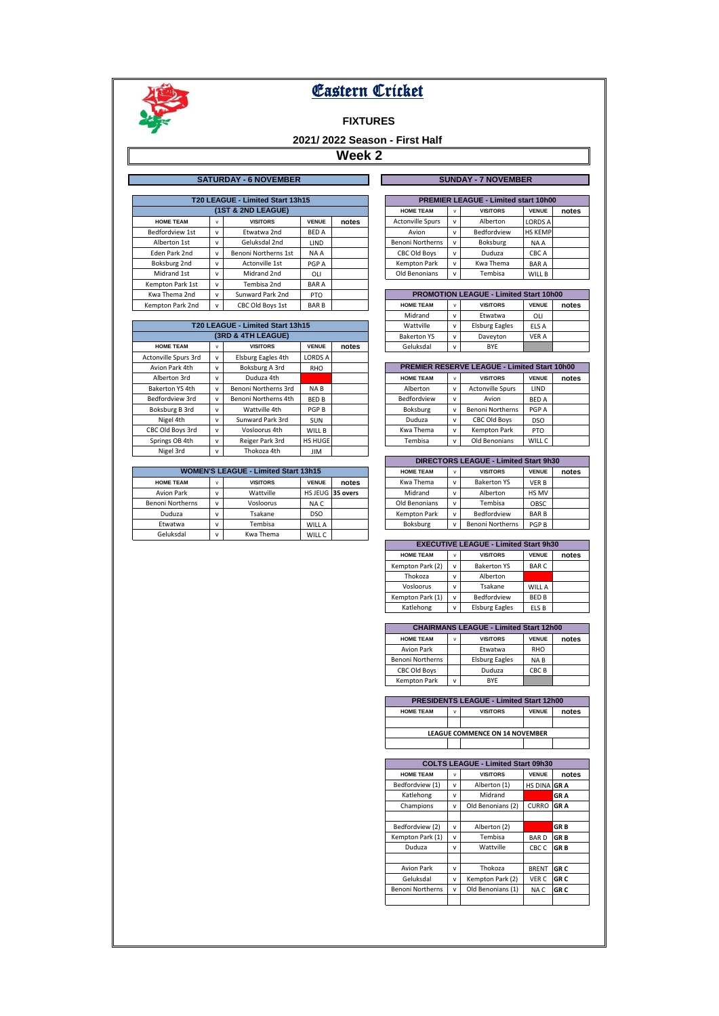

## **FIXTURES**

# **2021/ 2022 Season - First Half**

|                                  | <b>SATURDAY - 6 NOVEMBER</b> |              |                      |              |       |  |                                             |              | <b>SUNDAY - 7 NOVEMBER</b>                    |                |       |  |
|----------------------------------|------------------------------|--------------|----------------------|--------------|-------|--|---------------------------------------------|--------------|-----------------------------------------------|----------------|-------|--|
|                                  |                              |              |                      |              |       |  |                                             |              |                                               |                |       |  |
| T20 LEAGUE - Limited Start 13h15 |                              |              |                      |              |       |  | <b>PREMIER LEAGUE - Limited start 10h00</b> |              |                                               |                |       |  |
|                                  |                              |              | (1ST & 2ND LEAGUE)   |              |       |  | <b>HOME TEAM</b>                            | $\mathsf{v}$ | <b>VISITORS</b>                               | <b>VENUE</b>   | notes |  |
|                                  | <b>HOME TEAM</b>             | v            | <b>VISITORS</b>      | <b>VENUE</b> | notes |  | <b>Actonville Spurs</b>                     | v            | Alberton                                      | <b>LORDS A</b> |       |  |
|                                  | Bedfordview 1st              | v            | Etwatwa 2nd          | <b>BED A</b> |       |  | Avion                                       | v            | Bedfordview                                   | <b>HS KEMP</b> |       |  |
|                                  | Alberton 1st                 | $\mathsf{v}$ | Geluksdal 2nd        | LIND.        |       |  | <b>Benoni Northerns</b>                     | v            | Boksburg                                      | NA A           |       |  |
|                                  | Eden Park 2nd                | $\mathsf{v}$ | Benoni Northerns 1st | NA A         |       |  | <b>CBC Old Boys</b>                         | v            | Duduza                                        | CBC A          |       |  |
|                                  | Boksburg 2nd                 | v            | Actonville 1st       | PGP A        |       |  | Kempton Park                                | v            | Kwa Thema                                     | <b>BARA</b>    |       |  |
|                                  | Midrand 1st                  | v            | Midrand 2nd          | OLI          |       |  | Old Benonians                               | v            | Tembisa                                       | WILL B         |       |  |
|                                  | Kempton Park 1st             | v            | Tembisa 2nd          | <b>BARA</b>  |       |  |                                             |              |                                               |                |       |  |
|                                  | Kwa Thema 2nd                | v            | Sunward Park 2nd     | PTO          |       |  |                                             |              | <b>PROMOTION LEAGUE - Limited Start 10h00</b> |                |       |  |
|                                  | Kempton Park 2nd             |              | CBC Old Boys 1st     | <b>BARB</b>  |       |  | <b>HOME TEAM</b>                            | $\mathsf{v}$ | <b>VISITORS</b>                               | <b>VENUE</b>   | notes |  |
|                                  |                              |              |                      |              |       |  |                                             |              |                                               |                |       |  |

|                      |                    |                                  |                |       |  | iviiul diiu        | v | ctwatwa                                             | ULI          |       |
|----------------------|--------------------|----------------------------------|----------------|-------|--|--------------------|---|-----------------------------------------------------|--------------|-------|
|                      |                    | T20 LEAGUE - Limited Start 13h15 |                |       |  | Wattville          | v | <b>Elsburg Eagles</b>                               | ELS A        |       |
|                      | (3RD & 4TH LEAGUE) |                                  |                |       |  | <b>Bakerton YS</b> | v | Daveyton                                            | <b>VER A</b> |       |
| <b>HOME TEAM</b>     | v                  | <b>VISITORS</b>                  | <b>VENUE</b>   | notes |  | Geluksdal          | v | <b>BYE</b>                                          |              |       |
| Actonville Spurs 3rd | $\mathsf{v}$       | Elsburg Eagles 4th               | <b>LORDS A</b> |       |  |                    |   |                                                     |              |       |
| Avion Park 4th       | $\mathsf{v}$       | Boksburg A 3rd                   | RHO            |       |  |                    |   | <b>PREMIER RESERVE LEAGUE - Limited Start 10h00</b> |              |       |
| Alberton 3rd         | $\mathsf{v}$       | Duduza 4th                       |                |       |  | <b>HOME TEAM</b>   | v | <b>VISITORS</b>                                     | <b>VENUE</b> | notes |
| Bakerton YS 4th      | $\mathsf{v}$       | Benoni Northerns 3rd             | NA B           |       |  | Alberton           | v | <b>Actonville Spurs</b>                             | LIND         |       |
| Bedfordview 3rd      | $\mathsf{v}$       | Benoni Northerns 4th             | <b>BED B</b>   |       |  | Bedfordview        | v | Avion                                               | <b>BED A</b> |       |
| Boksburg B 3rd       | $\mathsf{v}$       | Wattville 4th                    | PGP B          |       |  | Boksburg           | v | <b>Benoni Northerns</b>                             | PGP A        |       |
| Nigel 4th            | $\mathsf{v}$       | Sunward Park 3rd                 | <b>SUN</b>     |       |  | Duduza             | v | <b>CBC Old Boys</b>                                 | <b>DSO</b>   |       |
| CBC Old Boys 3rd     | $\mathsf{v}$       | Vosloorus 4th                    | WILL B         |       |  | Kwa Thema          | v | <b>Kempton Park</b>                                 | <b>PTO</b>   |       |
| Springs OB 4th       | $\mathsf{v}$       | Reiger Park 3rd                  | HS HUGE        |       |  | Tembisa            | v | Old Benonians                                       | WILL C       |       |
| Nigel 3rd            | $\mathsf{v}$       | Thokoza 4th                      | <b>JIM</b>     |       |  |                    |   |                                                     |              |       |

| <b>WOMEN'S LEAGUE - Limited Start 13h15</b> | <b>HOME TEAM</b> | $\mathsf{v}$    | <b>VISITORS</b> | <b>VENUE</b>     |  |                     |              |                         |              |
|---------------------------------------------|------------------|-----------------|-----------------|------------------|--|---------------------|--------------|-------------------------|--------------|
| <b>HOME TEAM</b>                            | $\overline{ }$   | <b>VISITORS</b> | <b>VENUE</b>    | notes            |  | Kwa Thema           | $\mathsf{v}$ | <b>Bakerton YS</b>      | <b>VERB</b>  |
| <b>Avion Park</b>                           | $\mathbf{v}$     | Wattville       |                 | HS JEUG 35 overs |  | Midrand             | $\mathsf{v}$ | Alberton                | <b>HS MV</b> |
| <b>Benoni Northerns</b>                     | $\mathbf{v}$     | Vosloorus       | NA C            |                  |  | Old Benonians       | $\mathsf{v}$ | Tembisa                 | OBSC         |
| Duduza                                      |                  | Tsakane         | <b>DSO</b>      |                  |  | <b>Kempton Park</b> | $\mathsf{v}$ | Bedfordview             | <b>BARB</b>  |
| Etwatwa                                     |                  | Tembisa         | WILL A          |                  |  | Boksburg            | $\mathsf{v}$ | <b>Benoni Northerns</b> | PGP B        |
| Geluksdal                                   | $\mathbf{v}$     | Kwa Thema       | WILL C          |                  |  |                     |              |                         |              |

| <b>PREMIER LEAGUE - Limited start 10h00</b> |              |                 |                |       |  |  |  |  |  |  |  |  |
|---------------------------------------------|--------------|-----------------|----------------|-------|--|--|--|--|--|--|--|--|
| <b>HOME TEAM</b>                            | v            | <b>VISITORS</b> | <b>VENUE</b>   | notes |  |  |  |  |  |  |  |  |
| <b>Actonville Spurs</b>                     | v            | Alberton        | <b>LORDS A</b> |       |  |  |  |  |  |  |  |  |
| Avion                                       | v            | Bedfordview     | <b>HS KEMP</b> |       |  |  |  |  |  |  |  |  |
| <b>Benoni Northerns</b>                     | $\mathsf{v}$ | Boksburg        | NA A           |       |  |  |  |  |  |  |  |  |
| <b>CBC Old Boys</b>                         | $\mathsf{v}$ | Duduza          | CBC A          |       |  |  |  |  |  |  |  |  |
| <b>Kempton Park</b>                         | $\mathbf{v}$ | Kwa Thema       | <b>BARA</b>    |       |  |  |  |  |  |  |  |  |
| Old Benonians                               | v            | Tembisa         | WILL B         |       |  |  |  |  |  |  |  |  |

| <b>PROMOTION LEAGUE - Limited Start 10h00</b> |              |                       |              |       |  |  |  |  |  |  |  |
|-----------------------------------------------|--------------|-----------------------|--------------|-------|--|--|--|--|--|--|--|
| <b>HOME TEAM</b>                              | v            | <b>VISITORS</b>       | <b>VENUE</b> | notes |  |  |  |  |  |  |  |
| Midrand                                       | $\mathsf{v}$ | Etwatwa               | OLI          |       |  |  |  |  |  |  |  |
| Wattville                                     | v            | <b>Elsburg Eagles</b> | ELS A        |       |  |  |  |  |  |  |  |
| <b>Bakerton YS</b><br>v                       |              | Daveyton              | VER A        |       |  |  |  |  |  |  |  |
| Geluksdal                                     | $\mathsf{v}$ | BYE                   |              |       |  |  |  |  |  |  |  |

| <b>PREMIER RESERVE LEAGUE - Limited Start 10h00</b> |              |                         |              |       |  |  |  |  |  |
|-----------------------------------------------------|--------------|-------------------------|--------------|-------|--|--|--|--|--|
| <b>HOME TEAM</b>                                    | v            | <b>VISITORS</b>         | <b>VENUE</b> | notes |  |  |  |  |  |
| Alberton                                            | $\mathsf{v}$ | <b>Actonville Spurs</b> | LIND         |       |  |  |  |  |  |
| Bedfordview                                         | v            | Avion                   | <b>BED A</b> |       |  |  |  |  |  |
| Boksburg                                            | $\mathsf{v}$ | <b>Benoni Northerns</b> | PGP A        |       |  |  |  |  |  |
| Duduza                                              | v            | <b>CBC Old Boys</b>     | <b>DSO</b>   |       |  |  |  |  |  |
| Kwa Thema                                           | $\mathsf{v}$ | <b>Kempton Park</b>     | <b>PTO</b>   |       |  |  |  |  |  |
| Tembisa                                             | $\mathbf{v}$ | Old Benonians           | WILL C       |       |  |  |  |  |  |

| DIRECTORS LEAGUE - Limited Start 9h30 |              |                         |                  |       |  |  |  |  |  |  |
|---------------------------------------|--------------|-------------------------|------------------|-------|--|--|--|--|--|--|
| <b>HOME TEAM</b>                      | $\mathsf{v}$ | <b>VISITORS</b>         | <b>VENUE</b>     | notes |  |  |  |  |  |  |
| Kwa Thema                             | $\mathbf{v}$ | <b>Bakerton YS</b>      | <b>VERB</b>      |       |  |  |  |  |  |  |
| Midrand                               | $\mathbf{v}$ | Alberton                | HS MV            |       |  |  |  |  |  |  |
| Old Benonians                         | $\mathsf{v}$ | Tembisa                 | OBSC             |       |  |  |  |  |  |  |
| <b>Kempton Park</b>                   | $\mathsf{v}$ | Bedfordview             | <b>BARB</b>      |       |  |  |  |  |  |  |
| Boksburg                              | $\mathbf{v}$ | <b>Benoni Northerns</b> | PGP <sub>B</sub> |       |  |  |  |  |  |  |

| <b>EXECUTIVE LEAGUE - Limited Start 9h30</b> |              |                       |              |  |  |  |  |  |  |  |
|----------------------------------------------|--------------|-----------------------|--------------|--|--|--|--|--|--|--|
| <b>HOME TEAM</b>                             | <b>VENUE</b> | notes                 |              |  |  |  |  |  |  |  |
| Kempton Park (2)                             | v            | <b>Bakerton YS</b>    | <b>BARC</b>  |  |  |  |  |  |  |  |
| Thokoza                                      | v            | Alberton              |              |  |  |  |  |  |  |  |
| Vosloorus                                    | v            | Tsakane               | WILL A       |  |  |  |  |  |  |  |
| Kempton Park (1)                             | v            | Bedfordview           | <b>BED B</b> |  |  |  |  |  |  |  |
| Katlehong                                    | $\mathbf{v}$ | <b>Elsburg Eagles</b> | ELS B        |  |  |  |  |  |  |  |

| <b>CHAIRMANS LEAGUE - Limited Start 12h00</b>                     |              |                       |                 |  |  |  |  |  |  |  |
|-------------------------------------------------------------------|--------------|-----------------------|-----------------|--|--|--|--|--|--|--|
| <b>VENUE</b><br><b>HOME TEAM</b><br><b>VISITORS</b><br>notes<br>v |              |                       |                 |  |  |  |  |  |  |  |
| Avion Park                                                        |              | Etwatwa               | <b>RHO</b>      |  |  |  |  |  |  |  |
| <b>Benoni Northerns</b>                                           |              | <b>Elsburg Eagles</b> | NA <sub>B</sub> |  |  |  |  |  |  |  |
| <b>CBC Old Boys</b>                                               |              | Duduza                | CBC B           |  |  |  |  |  |  |  |
| <b>Kempton Park</b>                                               | $\mathbf{v}$ | <b>BYF</b>            |                 |  |  |  |  |  |  |  |

| <b>PRESIDENTS LEAGUE - Limited Start 12h00</b>                               |  |  |  |  |  |  |  |  |  |  |
|------------------------------------------------------------------------------|--|--|--|--|--|--|--|--|--|--|
| <b>VENUE</b><br><b>HOME TEAM</b><br><b>VISITORS</b><br>notes<br>$\mathbf{v}$ |  |  |  |  |  |  |  |  |  |  |
|                                                                              |  |  |  |  |  |  |  |  |  |  |
| <b>LEAGUE COMMENCE ON 14 NOVEMBER</b>                                        |  |  |  |  |  |  |  |  |  |  |
|                                                                              |  |  |  |  |  |  |  |  |  |  |

| <b>COLTS LEAGUE - Limited Start 09h30</b> |              |                   |                    |            |  |  |  |  |  |  |
|-------------------------------------------|--------------|-------------------|--------------------|------------|--|--|--|--|--|--|
| <b>HOME TEAM</b>                          | <b>VENUE</b> | notes             |                    |            |  |  |  |  |  |  |
| Bedfordview (1)                           | $\mathsf{v}$ | Alberton (1)      | <b>HS DINA GRA</b> |            |  |  |  |  |  |  |
| Katlehong                                 | $\mathsf{v}$ | Midrand           |                    | <b>GRA</b> |  |  |  |  |  |  |
| Champions                                 | $\mathsf{v}$ | Old Benonians (2) | <b>CURRO</b>       | <b>GRA</b> |  |  |  |  |  |  |
|                                           |              |                   |                    |            |  |  |  |  |  |  |
| Bedfordview (2)                           | $\mathsf{v}$ | Alberton (2)      |                    | <b>GRB</b> |  |  |  |  |  |  |
| Kempton Park (1)                          | $\mathsf{v}$ | Tembisa           | <b>BARD</b>        | <b>GRB</b> |  |  |  |  |  |  |
| Duduza                                    | $\mathsf{v}$ | Wattville         | CBC <sub>C</sub>   | <b>GRB</b> |  |  |  |  |  |  |
|                                           |              |                   |                    |            |  |  |  |  |  |  |
| <b>Avion Park</b>                         | v            | Thokoza           | <b>BRENT</b>       | <b>GRC</b> |  |  |  |  |  |  |
| Geluksdal                                 | $\mathsf{v}$ | Kempton Park (2)  | VER C              | <b>GRC</b> |  |  |  |  |  |  |
| <b>Benoni Northerns</b>                   | v            | Old Benonians (1) | <b>GRC</b><br>NA C |            |  |  |  |  |  |  |
|                                           |              |                   |                    |            |  |  |  |  |  |  |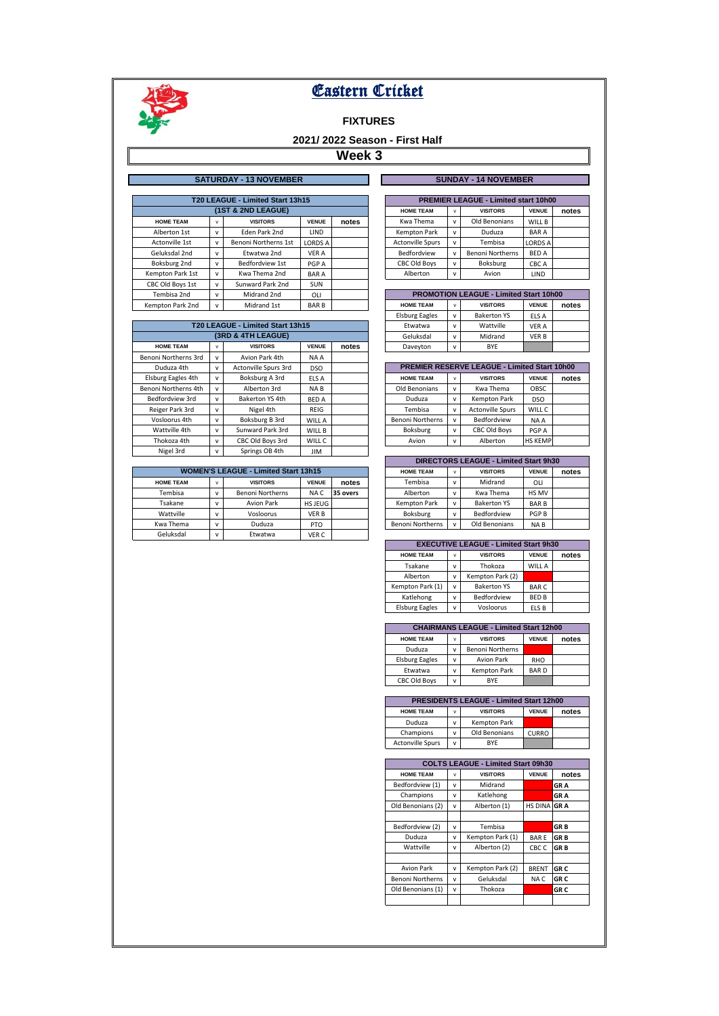

## **FIXTURES**

# **2021/ 2022 Season - First Half**

|                  |              | <b>SATURDAY - 13 NOVEMBER</b>    |                 |       | <b>SUNDAY - 14 NOVEMBER</b> |                                               |   |                                             |                |       |  |
|------------------|--------------|----------------------------------|-----------------|-------|-----------------------------|-----------------------------------------------|---|---------------------------------------------|----------------|-------|--|
|                  |              |                                  |                 |       |                             |                                               |   |                                             |                |       |  |
|                  |              | T20 LEAGUE - Limited Start 13h15 |                 |       |                             |                                               |   | <b>PREMIER LEAGUE - Limited start 10h00</b> |                |       |  |
|                  |              | (1ST & 2ND LEAGUE)               |                 |       |                             | <b>HOME TEAM</b>                              | v | <b>VISITORS</b>                             | <b>VENUE</b>   | notes |  |
| <b>HOME TEAM</b> | v            | <b>VISITORS</b>                  | <b>VENUE</b>    | notes |                             | Kwa Thema                                     | v | Old Benonians                               | WILL B         |       |  |
| Alberton 1st     | v            | Eden Park 2nd                    | <b>LIND</b>     |       |                             | <b>Kempton Park</b>                           | v | Duduza                                      | <b>BARA</b>    |       |  |
| Actonville 1st   | v            | Benoni Northerns 1st             | LORDS A         |       |                             | <b>Actonville Spurs</b>                       | v | Tembisa                                     | <b>LORDS A</b> |       |  |
| Geluksdal 2nd    | $\mathsf{v}$ | Etwatwa 2nd                      | <b>VER A</b>    |       |                             | Bedfordview                                   | v | <b>Benoni Northerns</b>                     | <b>BED A</b>   |       |  |
| Boksburg 2nd     | v            | Bedfordview 1st                  | PGP A           |       |                             | <b>CBC Old Bovs</b>                           | v | Boksburg                                    | CBC A          |       |  |
| Kempton Park 1st | v            | Kwa Thema 2nd                    | <b>BARA</b>     |       |                             | Alberton                                      | v | Avion                                       | LIND           |       |  |
| CBC Old Boys 1st | v            | Sunward Park 2nd                 | <b>SUN</b>      |       |                             |                                               |   |                                             |                |       |  |
| Tembisa 2nd      | $\mathsf{v}$ | Midrand 2nd                      | 0 <sub>LI</sub> |       |                             | <b>PROMOTION LEAGUE - Limited Start 10h00</b> |   |                                             |                |       |  |
| Kempton Park 2nd | v            | Midrand 1st                      | <b>BARB</b>     |       |                             | <b>HOME TEAM</b>                              | v | <b>VISITORS</b>                             | <b>VENUE</b>   | notes |  |

|                      |              |                                  |              |       | Lisburg Lagies          | v            | <b>DANCILUII 13</b>                                 | ELS A          |       |
|----------------------|--------------|----------------------------------|--------------|-------|-------------------------|--------------|-----------------------------------------------------|----------------|-------|
|                      |              | T20 LEAGUE - Limited Start 13h15 |              |       | Etwatwa                 | v            | Wattville                                           | <b>VER A</b>   |       |
|                      |              | (3RD & 4TH LEAGUE)               |              |       | Geluksdal               | v            | Midrand                                             | <b>VER B</b>   |       |
| <b>HOME TEAM</b>     | $\mathsf{v}$ | <b>VISITORS</b>                  | <b>VENUE</b> | notes | Daveyton                | v            | <b>BYE</b>                                          |                |       |
| Benoni Northerns 3rd | $\mathsf{v}$ | Avion Park 4th                   | NA A         |       |                         |              |                                                     |                |       |
| Duduza 4th           | $\mathsf{v}$ | Actonville Spurs 3rd             | DSO          |       |                         |              | <b>PREMIER RESERVE LEAGUE - Limited Start 10h00</b> |                |       |
| Elsburg Eagles 4th   | $\mathsf{v}$ | Boksburg A 3rd                   | ELS A        |       | <b>HOME TEAM</b>        | v            | <b>VISITORS</b>                                     | <b>VENUE</b>   | notes |
| Benoni Northerns 4th | $\mathsf{v}$ | Alberton 3rd                     | NA B         |       | Old Benonians           | $\mathsf{v}$ | Kwa Thema                                           | OBSC           |       |
| Bedfordview 3rd      | $\mathsf{v}$ | Bakerton YS 4th                  | <b>BED A</b> |       | Duduza                  | $\mathsf{v}$ | Kempton Park                                        | <b>DSO</b>     |       |
| Reiger Park 3rd      | $\mathsf{v}$ | Nigel 4th                        | REIG         |       | Tembisa                 | v            | <b>Actonville Spurs</b>                             | WILL C         |       |
| Vosloorus 4th        | v            | Boksburg B 3rd                   | WILL A       |       | <b>Benoni Northerns</b> | v            | Bedfordview                                         | NA A           |       |
| Wattville 4th        | $\mathsf{v}$ | Sunward Park 3rd                 | WILL B       |       | Boksburg                | v            | <b>CBC Old Boys</b>                                 | PGP A          |       |
| Thokoza 4th          | $\mathsf{v}$ | CBC Old Boys 3rd                 | WILL C       |       | Avion                   | v            | Alberton                                            | <b>HS KEMP</b> |       |
| Nigel 3rd            | $\mathsf{v}$ | Springs OB 4th                   | JIM          |       |                         |              |                                                     |                |       |

| <b>WOMEN'S LEAGUE - Limited Start 13h15</b> |              |                         |              | <b>HOME TEAM</b> | $\mathsf{v}$            | <b>VISITORS</b> | <b>VENUE</b>       |             |
|---------------------------------------------|--------------|-------------------------|--------------|------------------|-------------------------|-----------------|--------------------|-------------|
| <b>HOME TEAM</b>                            | $\mathbf{v}$ | <b>VISITORS</b>         | <b>VENUE</b> | notes            | Tembisa                 | $\mathsf{v}$    | Midrand            | OLI         |
| Tembisa                                     | $\mathbf{v}$ | <b>Benoni Northerns</b> | NA C         | 35 overs         | Alberton                | $\mathsf{v}$    | Kwa Thema          | HS MV       |
| Tsakane                                     | $\mathbf{v}$ | Avion Park              | HS JEUG      |                  | Kempton Park            | $\mathsf{v}$    | <b>Bakerton YS</b> | <b>BARB</b> |
| Wattville                                   | $\mathbf{v}$ | Vosloorus               | VER B        |                  | Boksburg                | v               | Bedfordview        | <b>PGPB</b> |
| Kwa Thema                                   | $\mathbf{v}$ | Duduza                  | <b>PTO</b>   |                  | <b>Benoni Northerns</b> | v               | Old Benonians      | NA B        |
| Geluksdal                                   | $\mathbf{v}$ | Etwatwa                 | VER C        |                  |                         |                 |                    |             |

|  |  | <b>SUNDAY - 14 NOVEMBER</b> |  |
|--|--|-----------------------------|--|

| <b>PREMIER LEAGUE - Limited start 10h00</b> |                                      |                         |                |  |  |  |  |  |  |  |  |
|---------------------------------------------|--------------------------------------|-------------------------|----------------|--|--|--|--|--|--|--|--|
| <b>HOME TEAM</b>                            | <b>VENUE</b><br><b>VISITORS</b><br>v |                         |                |  |  |  |  |  |  |  |  |
| Kwa Thema                                   | v                                    | Old Benonians           | WILL B         |  |  |  |  |  |  |  |  |
| <b>Kempton Park</b>                         | v                                    | Duduza                  | <b>BARA</b>    |  |  |  |  |  |  |  |  |
| <b>Actonville Spurs</b>                     | v                                    | Tembisa                 | <b>LORDS A</b> |  |  |  |  |  |  |  |  |
| Bedfordview                                 | v                                    | <b>Benoni Northerns</b> | <b>BED A</b>   |  |  |  |  |  |  |  |  |
| <b>CBC Old Boys</b>                         | v                                    | Boksburg                | CBC A          |  |  |  |  |  |  |  |  |
| Alberton                                    | v                                    | Avion                   | LIND           |  |  |  |  |  |  |  |  |
|                                             |                                      |                         |                |  |  |  |  |  |  |  |  |

| <b>PROMOTION LEAGUE - Limited Start 10h00</b>                     |              |                    |              |  |  |  |  |  |  |
|-------------------------------------------------------------------|--------------|--------------------|--------------|--|--|--|--|--|--|
| <b>VENUE</b><br><b>HOME TEAM</b><br><b>VISITORS</b><br>notes<br>v |              |                    |              |  |  |  |  |  |  |
| <b>Elsburg Eagles</b>                                             | $\mathsf{v}$ | <b>Bakerton YS</b> | ELS A        |  |  |  |  |  |  |
| Etwatwa                                                           | $\mathsf{v}$ | Wattville          | <b>VER A</b> |  |  |  |  |  |  |
| Geluksdal                                                         | $\mathsf{v}$ | Midrand            | <b>VERB</b>  |  |  |  |  |  |  |
| Daveyton                                                          | $\mathsf{v}$ | BYE                |              |  |  |  |  |  |  |

| PREMIER RESERVE LEAGUE - Limited Start 10h00 |              |                         |                |       |  |  |  |  |  |  |
|----------------------------------------------|--------------|-------------------------|----------------|-------|--|--|--|--|--|--|
| <b>HOME TEAM</b>                             | $\mathsf{v}$ | <b>VISITORS</b>         | <b>VENUE</b>   | notes |  |  |  |  |  |  |
| Old Benonians                                | v            | Kwa Thema               | OBSC           |       |  |  |  |  |  |  |
| Duduza                                       | v            | <b>Kempton Park</b>     | <b>DSO</b>     |       |  |  |  |  |  |  |
| Tembisa                                      | $\mathsf{v}$ | <b>Actonville Spurs</b> | WILL C         |       |  |  |  |  |  |  |
| <b>Benoni Northerns</b>                      | $\mathsf{v}$ | Bedfordview             | NA A           |       |  |  |  |  |  |  |
| Boksburg                                     | v            | <b>CBC Old Boys</b>     | PGP A          |       |  |  |  |  |  |  |
| Avion                                        | v            | Alberton                | <b>HS KEMP</b> |       |  |  |  |  |  |  |

|                         | <b>DIRECTORS LEAGUE - Limited Start 9h30</b> |                    |                 |       |  |  |  |  |  |  |  |
|-------------------------|----------------------------------------------|--------------------|-----------------|-------|--|--|--|--|--|--|--|
| <b>HOME TEAM</b>        | v                                            | <b>VISITORS</b>    | <b>VENUE</b>    | notes |  |  |  |  |  |  |  |
| Tembisa                 | $\mathsf{v}$                                 | Midrand            | OLI             |       |  |  |  |  |  |  |  |
| Alberton                | v                                            | Kwa Thema          | HS MV           |       |  |  |  |  |  |  |  |
| <b>Kempton Park</b>     | v                                            | <b>Bakerton YS</b> | <b>BARB</b>     |       |  |  |  |  |  |  |  |
| Boksburg                | $\mathsf{v}$                                 | Bedfordview        | PGP B           |       |  |  |  |  |  |  |  |
| <b>Benoni Northerns</b> | v                                            | Old Benonians      | NA <sub>B</sub> |       |  |  |  |  |  |  |  |

| <b>EXECUTIVE LEAGUE - Limited Start 9h30</b> |              |                    |              |       |  |  |  |  |  |
|----------------------------------------------|--------------|--------------------|--------------|-------|--|--|--|--|--|
| <b>HOME TEAM</b>                             | v            | <b>VISITORS</b>    | <b>VENUE</b> | notes |  |  |  |  |  |
| Tsakane                                      | v            | Thokoza            | WILL A       |       |  |  |  |  |  |
| Alberton                                     | v            | Kempton Park (2)   |              |       |  |  |  |  |  |
| Kempton Park (1)                             | $\mathbf{v}$ | <b>Bakerton YS</b> | <b>BARC</b>  |       |  |  |  |  |  |
| Katlehong                                    | $\mathsf{v}$ | Bedfordview        | <b>BED B</b> |       |  |  |  |  |  |
| <b>Elsburg Eagles</b>                        | $\mathsf{v}$ | Vosloorus          | ELS B        |       |  |  |  |  |  |

| <b>CHAIRMANS LEAGUE - Limited Start 12h00</b> |              |                         |              |       |  |  |  |  |  |
|-----------------------------------------------|--------------|-------------------------|--------------|-------|--|--|--|--|--|
| <b>HOME TEAM</b>                              | $\mathbf{v}$ | <b>VISITORS</b>         | <b>VENUE</b> | notes |  |  |  |  |  |
| Duduza                                        | v            | <b>Benoni Northerns</b> |              |       |  |  |  |  |  |
| <b>Elsburg Eagles</b>                         | $\mathbf{v}$ | <b>Avion Park</b>       | <b>RHO</b>   |       |  |  |  |  |  |
| Etwatwa                                       | $\mathsf{v}$ | <b>Kempton Park</b>     | <b>BARD</b>  |       |  |  |  |  |  |
| <b>CBC Old Boys</b>                           | $\mathsf{v}$ | <b>BYF</b>              |              |       |  |  |  |  |  |

| <b>PRESIDENTS LEAGUE - Limited Start 12h00</b> |                                                          |                     |              |  |  |  |  |  |  |  |
|------------------------------------------------|----------------------------------------------------------|---------------------|--------------|--|--|--|--|--|--|--|
| <b>HOME TEAM</b>                               | <b>VENUE</b><br><b>VISITORS</b><br>notes<br>$\mathbf{v}$ |                     |              |  |  |  |  |  |  |  |
| Duduza                                         | v                                                        | <b>Kempton Park</b> |              |  |  |  |  |  |  |  |
| Champions                                      | v                                                        | Old Benonians       | <b>CURRO</b> |  |  |  |  |  |  |  |
| <b>Actonville Spurs</b>                        | v                                                        | <b>RYF</b>          |              |  |  |  |  |  |  |  |

|                                   | <b>COLTS LEAGUE - Limited Start 09h30</b> |                  |                |                 |  |  |  |  |  |  |  |
|-----------------------------------|-------------------------------------------|------------------|----------------|-----------------|--|--|--|--|--|--|--|
| <b>HOME TEAM</b>                  | v                                         | <b>VISITORS</b>  | <b>VENUE</b>   | notes           |  |  |  |  |  |  |  |
| Bedfordview (1)                   | $\mathsf{v}$                              | Midrand          |                | <b>GRA</b>      |  |  |  |  |  |  |  |
| Champions                         | $\mathsf{v}$                              | Katlehong        |                | <b>GRA</b>      |  |  |  |  |  |  |  |
| Old Benonians (2)                 | v                                         | Alberton (1)     | <b>HS DINA</b> | <b>GRA</b>      |  |  |  |  |  |  |  |
|                                   |                                           |                  |                |                 |  |  |  |  |  |  |  |
| Bedfordview (2)                   | $\mathsf{v}$                              | Tembisa          |                | <b>GRB</b>      |  |  |  |  |  |  |  |
| Duduza                            | $\mathsf{v}$                              | Kempton Park (1) | <b>BARE</b>    | <b>GRB</b>      |  |  |  |  |  |  |  |
| Wattville                         | $\mathsf{v}$                              | Alberton (2)     | CBC C          | <b>GRB</b>      |  |  |  |  |  |  |  |
|                                   |                                           |                  |                |                 |  |  |  |  |  |  |  |
| <b>Avion Park</b>                 | $\mathsf{v}$                              | Kempton Park (2) | <b>BRENT</b>   | GR <sub>C</sub> |  |  |  |  |  |  |  |
| <b>Benoni Northerns</b>           | $\mathsf{v}$                              | Geluksdal        | NA C           | <b>GRC</b>      |  |  |  |  |  |  |  |
| Old Benonians (1)<br>$\mathsf{v}$ |                                           | Thokoza          |                | <b>GRC</b>      |  |  |  |  |  |  |  |
|                                   |                                           |                  |                |                 |  |  |  |  |  |  |  |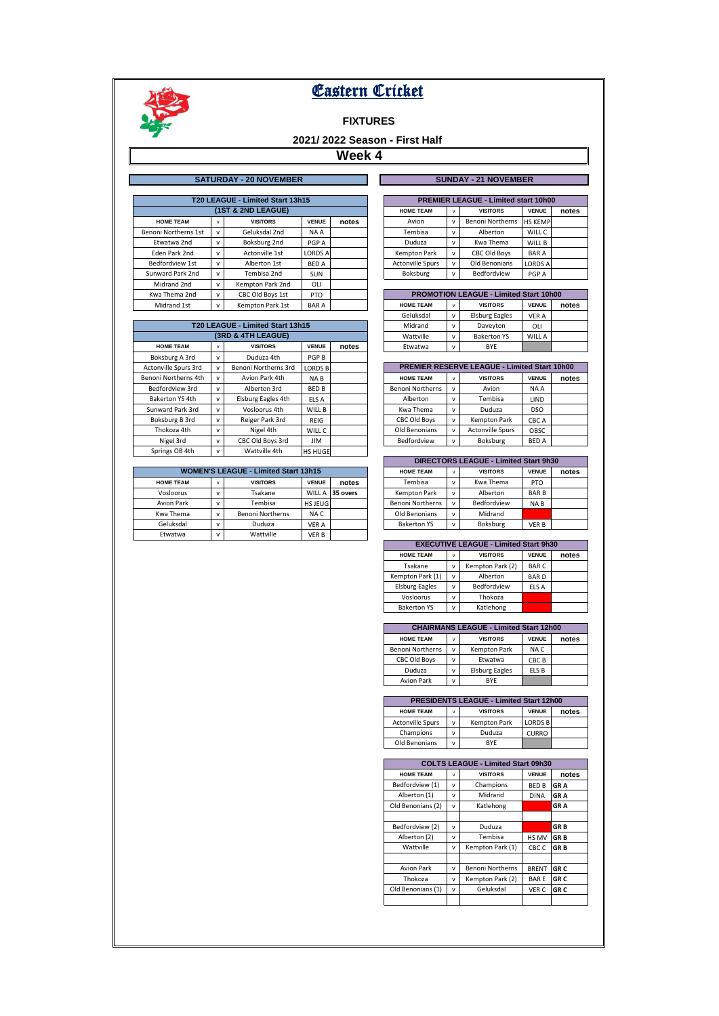

## **FIXTURES**

# **2021/ 2022 Season - First Half**

|                      |   | <b>SATURDAY - 20 NOVEMBER</b>    |                |       |                         |              | <b>SUNDAY - 21 NOVEMBER</b>                   |                |       |
|----------------------|---|----------------------------------|----------------|-------|-------------------------|--------------|-----------------------------------------------|----------------|-------|
|                      |   |                                  |                |       |                         |              |                                               |                |       |
|                      |   | T20 LEAGUE - Limited Start 13h15 |                |       |                         |              | <b>PREMIER LEAGUE - Limited start 10h00</b>   |                |       |
|                      |   | (1ST & 2ND LEAGUE)               |                |       | <b>HOME TEAM</b>        | v            | <b>VISITORS</b>                               | <b>VENUE</b>   | notes |
| <b>HOME TEAM</b>     | v | <b>VISITORS</b>                  | <b>VENUE</b>   | notes | Avion                   | v            | <b>Benoni Northerns</b>                       | <b>HS KEMP</b> |       |
| Benoni Northerns 1st | v | Geluksdal 2nd                    | NA A           |       | Tembisa                 | v            | Alberton                                      | WILL C         |       |
| Etwatwa 2nd          | v | Boksburg 2nd                     | PGP A          |       | Duduza                  | $\mathsf{v}$ | Kwa Thema                                     | WILL B         |       |
| Eden Park 2nd        | v | Actonville 1st                   | <b>LORDS A</b> |       | Kempton Park            | v            | CBC Old Boys                                  | <b>BARA</b>    |       |
| Bedfordview 1st      | v | Alberton 1st                     | <b>BED A</b>   |       | <b>Actonville Spurs</b> | v            | Old Benonians                                 | <b>LORDS A</b> |       |
| Sunward Park 2nd     | v | Tembisa 2nd                      | <b>SUN</b>     |       | Boksburg                | v            | Bedfordview                                   | PGP A          |       |
| Midrand 2nd          | v | Kempton Park 2nd                 | OLI            |       |                         |              |                                               |                |       |
| Kwa Thema 2nd        | v | CBC Old Boys 1st                 | PTO.           |       |                         |              | <b>PROMOTION LEAGUE - Limited Start 10h00</b> |                |       |
| Midrand 1st          | v | Kempton Park 1st                 | <b>BARA</b>    |       | <b>HOME TEAM</b>        | v            | <b>VISITORS</b>                               | <b>VENUE</b>   | notes |

|                      |              |                                  |                |       | uelunsudi               | v            | Lisburg Edgles                                      | <b>VERA</b>  |       |
|----------------------|--------------|----------------------------------|----------------|-------|-------------------------|--------------|-----------------------------------------------------|--------------|-------|
|                      |              | T20 LEAGUE - Limited Start 13h15 |                |       | Midrand                 | v            | Daveyton                                            | OLI          |       |
|                      |              | (3RD & 4TH LEAGUE)               |                |       | Wattville               | v            | <b>Bakerton YS</b>                                  | WILL A       |       |
| <b>HOME TEAM</b>     | v            | <b>VISITORS</b>                  | <b>VENUE</b>   | notes | Etwatwa                 | v            | <b>BYE</b>                                          |              |       |
| Boksburg A 3rd       | v            | Duduza 4th                       | PGP B          |       |                         |              |                                                     |              |       |
| Actonville Spurs 3rd | $\mathbf{v}$ | Benoni Northerns 3rd             | <b>LORDS B</b> |       |                         |              | <b>PREMIER RESERVE LEAGUE - Limited Start 10h00</b> |              |       |
| Benoni Northerns 4th |              | Avion Park 4th                   | NA B           |       | <b>HOME TEAM</b>        | v            | <b>VISITORS</b>                                     | <b>VENUE</b> | notes |
| Bedfordview 3rd      | v            | Alberton 3rd                     | <b>BED B</b>   |       | <b>Benoni Northerns</b> | v            | Avion                                               | NA A         |       |
| Bakerton YS 4th      | $\mathsf{v}$ | Elsburg Eagles 4th               | ELS A          |       | Alberton                | v            | Tembisa                                             | LIND         |       |
| Sunward Park 3rd     | v            | Vosloorus 4th                    | WILL B         |       | Kwa Thema               | $\mathsf{v}$ | Duduza                                              | <b>DSO</b>   |       |
| Boksburg B 3rd       | v            | Reiger Park 3rd                  | REIG           |       | CBC Old Boys            | v            | <b>Kempton Park</b>                                 | CBC A        |       |
| Thokoza 4th          | v            | Nigel 4th                        | WILL C         |       | Old Benonians           | v            | <b>Actonville Spurs</b>                             | OBSC         |       |
| Nigel 3rd            | v            | CBC Old Boys 3rd                 | <b>JIM</b>     |       | Bedfordview             | v            | Boksburg                                            | <b>BED A</b> |       |
| Springs OB 4th       | $\mathsf{v}$ | Wattville 4th                    | <b>HS HUGE</b> |       |                         |              |                                                     |              |       |

| <b>WOMEN'S LEAGUE - Limited Start 13h15</b> |  |                         |              |                 |  | <b>HOME TEAM</b>        | $\mathsf{v}$ | <b>VISITORS</b> | <b>VENUE</b>    |
|---------------------------------------------|--|-------------------------|--------------|-----------------|--|-------------------------|--------------|-----------------|-----------------|
| <b>HOME TEAM</b>                            |  | <b>VISITORS</b>         | <b>VENUE</b> | notes           |  | Tembisa                 | $\mathsf{v}$ | Kwa Thema       | PTO.            |
| Vosloorus                                   |  | Tsakane                 |              | WILL A 35 overs |  | Kempton Park            | $\mathsf{v}$ | Alberton        | <b>BAR</b> B    |
| <b>Avion Park</b>                           |  | Tembisa                 | HS JEUG      |                 |  | <b>Benoni Northerns</b> | $\mathsf{v}$ | Bedfordview     | NA <sub>B</sub> |
| Kwa Thema                                   |  | <b>Benoni Northerns</b> | NA C         |                 |  | Old Benonians           | $\mathsf{v}$ | Midrand         |                 |
| Geluksdal                                   |  | Duduza                  | VER A        |                 |  | <b>Bakerton YS</b>      | $\mathsf{v}$ | Boksburg        | <b>VER B</b>    |
| Etwatwa                                     |  | Wattville               | VER B        |                 |  |                         |              |                 |                 |

| <b>SUNDAY - 21 NOVEMBER</b> |  |
|-----------------------------|--|

| <b>PREMIER LEAGUE - Limited start 10h00</b> |              |                         |                |       |  |  |  |  |  |  |
|---------------------------------------------|--------------|-------------------------|----------------|-------|--|--|--|--|--|--|
| <b>HOME TEAM</b>                            | v            | <b>VISITORS</b>         | <b>VENUE</b>   | notes |  |  |  |  |  |  |
| Avion                                       | $\mathsf{v}$ | <b>Benoni Northerns</b> | <b>HS KEMP</b> |       |  |  |  |  |  |  |
| Tembisa                                     | v            | Alberton                | WILL C         |       |  |  |  |  |  |  |
| Duduza                                      | v            | Kwa Thema               | WILL B         |       |  |  |  |  |  |  |
| <b>Kempton Park</b>                         | v            | <b>CBC Old Boys</b>     | <b>BARA</b>    |       |  |  |  |  |  |  |
| <b>Actonville Spurs</b>                     | $\mathbf{v}$ | Old Benonians           | <b>LORDS A</b> |       |  |  |  |  |  |  |
| <b>Boksburg</b>                             | v            | Bedfordview             | PGP A          |       |  |  |  |  |  |  |

| <b>PROMOTION LEAGUE - Limited Start 10h00</b> |              |                       |              |       |  |  |  |  |  |
|-----------------------------------------------|--------------|-----------------------|--------------|-------|--|--|--|--|--|
| <b>HOME TEAM</b>                              | v            | <b>VISITORS</b>       | <b>VENUE</b> | notes |  |  |  |  |  |
| Geluksdal                                     | $\mathsf{v}$ | <b>Elsburg Eagles</b> | <b>VER A</b> |       |  |  |  |  |  |
| Midrand                                       | $\mathsf{v}$ | Daveyton              | OLI          |       |  |  |  |  |  |
| Wattville                                     | $\mathbf{v}$ | <b>Bakerton YS</b>    | WILL A       |       |  |  |  |  |  |
| Etwatwa                                       | v            | <b>RYF</b>            |              |       |  |  |  |  |  |

| <b>PREMIER RESERVE LEAGUE - Limited Start 10h00</b> |              |                         |              |       |  |  |  |  |  |  |
|-----------------------------------------------------|--------------|-------------------------|--------------|-------|--|--|--|--|--|--|
| <b>HOME TEAM</b>                                    | v            | <b>VISITORS</b>         | <b>VENUE</b> | notes |  |  |  |  |  |  |
| <b>Benoni Northerns</b>                             | ν            | Avion                   | NA A         |       |  |  |  |  |  |  |
| Alberton                                            | ν            | Tembisa                 | LIND         |       |  |  |  |  |  |  |
| Kwa Thema                                           | ν            | Duduza                  | <b>DSO</b>   |       |  |  |  |  |  |  |
| <b>CBC Old Boys</b>                                 | v            | <b>Kempton Park</b>     | CBC A        |       |  |  |  |  |  |  |
| Old Benonians                                       | $\mathsf{v}$ | <b>Actonville Spurs</b> | OBSC         |       |  |  |  |  |  |  |
| Bedfordview                                         | ν            | Boksburg                | <b>BED A</b> |       |  |  |  |  |  |  |

|                         | DIRECTORS LEAGUE - Limited Start 9h30 |             |                 |  |  |  |  |  |  |  |  |
|-------------------------|---------------------------------------|-------------|-----------------|--|--|--|--|--|--|--|--|
| <b>HOME TEAM</b>        | <b>VISITORS</b><br>v                  |             |                 |  |  |  |  |  |  |  |  |
| Tembisa                 | $\mathsf{v}$                          | Kwa Thema   | <b>PTO</b>      |  |  |  |  |  |  |  |  |
| Kempton Park            | v                                     | Alberton    | <b>BARB</b>     |  |  |  |  |  |  |  |  |
| <b>Benoni Northerns</b> | $\mathsf{v}$                          | Bedfordview | NA <sub>B</sub> |  |  |  |  |  |  |  |  |
| Old Benonians           | $\mathsf{v}$                          | Midrand     |                 |  |  |  |  |  |  |  |  |
| <b>Bakerton YS</b>      | $\mathsf{v}$                          | Boksburg    | <b>VERB</b>     |  |  |  |  |  |  |  |  |

| <b>EXECUTIVE LEAGUE - Limited Start 9h30</b> |                      |                  |             |  |  |  |  |  |  |
|----------------------------------------------|----------------------|------------------|-------------|--|--|--|--|--|--|
| <b>HOME TEAM</b>                             | <b>VISITORS</b><br>v |                  |             |  |  |  |  |  |  |
| Tsakane                                      | $\mathsf{v}$         | Kempton Park (2) | <b>BARC</b> |  |  |  |  |  |  |
| Kempton Park (1)                             | $\mathbf{v}$         | Alberton         | <b>BARD</b> |  |  |  |  |  |  |
| <b>Elsburg Eagles</b>                        | $\mathbf{v}$         | Bedfordview      | ELS A       |  |  |  |  |  |  |
| Vosloorus                                    | $\mathbf{v}$         | Thokoza          |             |  |  |  |  |  |  |
| <b>Bakerton YS</b>                           | $\mathsf{v}$         | Katlehong        |             |  |  |  |  |  |  |

| <b>CHAIRMANS LEAGUE - Limited Start 12h00</b> |                      |                       |       |  |  |  |  |  |  |  |
|-----------------------------------------------|----------------------|-----------------------|-------|--|--|--|--|--|--|--|
| <b>HOME TEAM</b>                              | <b>VISITORS</b><br>v |                       |       |  |  |  |  |  |  |  |
| <b>Benoni Northerns</b>                       | v                    | <b>Kempton Park</b>   | NA C  |  |  |  |  |  |  |  |
| <b>CBC Old Boys</b>                           | v                    | Etwatwa               | CBC B |  |  |  |  |  |  |  |
| Duduza                                        | $\mathsf{v}$         | <b>Elsburg Eagles</b> | ELS B |  |  |  |  |  |  |  |
| <b>Avion Park</b>                             | v                    | BYF                   |       |  |  |  |  |  |  |  |

|                                                                              | <b>PRESIDENTS LEAGUE - Limited Start 12h00</b> |              |                |  |  |  |  |  |  |  |  |
|------------------------------------------------------------------------------|------------------------------------------------|--------------|----------------|--|--|--|--|--|--|--|--|
| <b>VENUE</b><br><b>HOME TEAM</b><br><b>VISITORS</b><br>notes<br>$\mathbf{v}$ |                                                |              |                |  |  |  |  |  |  |  |  |
| <b>Actonville Spurs</b>                                                      | $\mathsf{v}$                                   | Kempton Park | <b>LORDS B</b> |  |  |  |  |  |  |  |  |
| Champions                                                                    | $\mathbf{v}$                                   | Duduza       | <b>CURRO</b>   |  |  |  |  |  |  |  |  |
| Old Benonians                                                                | v                                              | <b>RYF</b>   |                |  |  |  |  |  |  |  |  |

|                   |              | <b>COLTS LEAGUE - Limited Start 09h30</b> |                  |                 |
|-------------------|--------------|-------------------------------------------|------------------|-----------------|
| <b>HOME TEAM</b>  | $\mathsf{v}$ | <b>VISITORS</b>                           | <b>VENUE</b>     | notes           |
| Bedfordview (1)   | $\mathsf{v}$ | Champions                                 | <b>BED B</b>     | <b>GRA</b>      |
| Alberton (1)      | $\mathsf{v}$ | Midrand                                   | <b>DINA</b>      | <b>GRA</b>      |
| Old Benonians (2) | $\mathsf{v}$ | Katlehong                                 |                  | <b>GRA</b>      |
|                   |              |                                           |                  |                 |
| Bedfordview (2)   | v            | Duduza                                    |                  | <b>GRB</b>      |
| Alberton (2)      | $\mathsf{v}$ | Tembisa                                   | HS MV            | <b>GRB</b>      |
| Wattville         | $\mathsf{v}$ | Kempton Park (1)                          | CBC <sub>C</sub> | <b>GRB</b>      |
|                   |              |                                           |                  |                 |
| <b>Avion Park</b> | $\mathsf{v}$ | <b>Benoni Northerns</b>                   | <b>BRENT</b>     | GR <sub>C</sub> |
| Thokoza           | $\mathsf{v}$ | Kempton Park (2)                          | <b>BARE</b>      | <b>GRC</b>      |
| Old Benonians (1) | $\mathsf{v}$ | Geluksdal                                 | VER C            | <b>GRC</b>      |
|                   |              |                                           |                  |                 |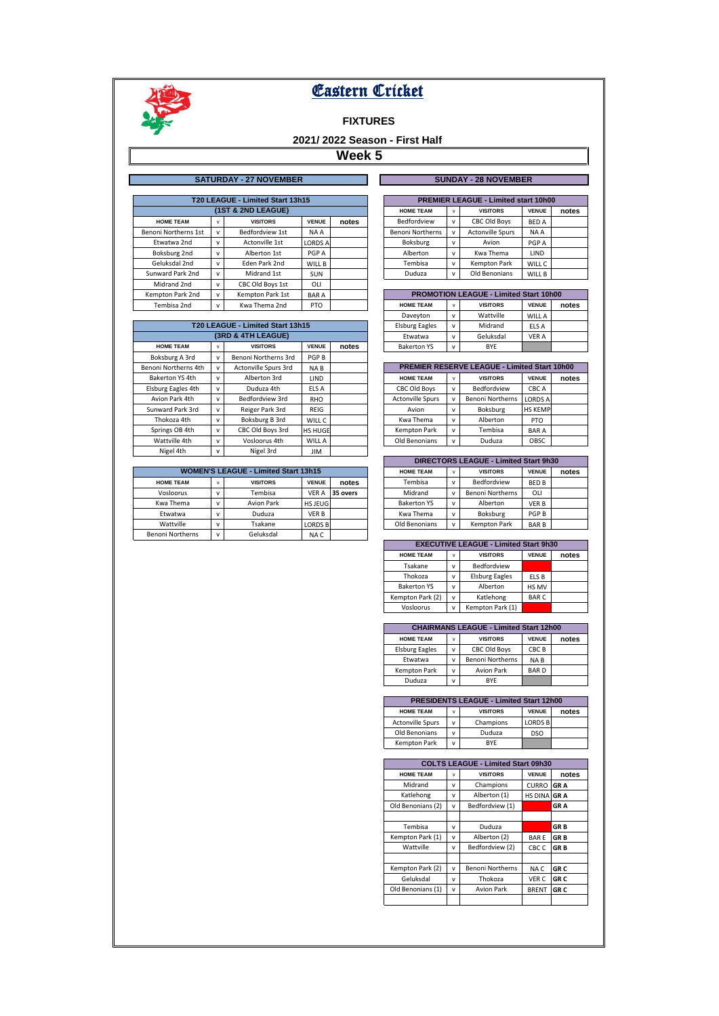

## **FIXTURES**

# **2021/ 2022 Season - First Half**

|                      |              |                  |                    |                                                                   | <b>HOME TEAM</b>        | v            | <b>VISITORS</b>         | <b>VENUE</b> | notes                                                                                                                       |
|----------------------|--------------|------------------|--------------------|-------------------------------------------------------------------|-------------------------|--------------|-------------------------|--------------|-----------------------------------------------------------------------------------------------------------------------------|
| <b>HOME TEAM</b>     | v            | <b>VISITORS</b>  | <b>VENUE</b>       | notes                                                             | <b>Bedfordview</b>      | $\mathsf{v}$ | CBC Old Boys            | <b>BED A</b> |                                                                                                                             |
| Benoni Northerns 1st | v            | Bedfordview 1st  | NA A               |                                                                   | <b>Benoni Northerns</b> | $\mathsf{v}$ | <b>Actonville Spurs</b> | NA A         |                                                                                                                             |
| Etwatwa 2nd          | $\mathsf{v}$ | Actonville 1st   | <b>LORDS A</b>     |                                                                   | Boksburg                | v            | Avion                   | PGP A        |                                                                                                                             |
| Boksburg 2nd         | $\mathsf{v}$ | Alberton 1st     | PGP A              |                                                                   | Alberton                | v            | Kwa Thema               | LIND         |                                                                                                                             |
| Geluksdal 2nd        | v            | Eden Park 2nd    | WILL B             |                                                                   | Tembisa                 | v            | Kempton Park            | WILL C       |                                                                                                                             |
| Sunward Park 2nd     | v            | Midrand 1st      | <b>SUN</b>         |                                                                   | Duduza                  | v            | Old Benonians           | WILL B       |                                                                                                                             |
| Midrand 2nd          | v            | CBC Old Boys 1st | OLI                |                                                                   |                         |              |                         |              |                                                                                                                             |
| Kempton Park 2nd     | v            | Kempton Park 1st | <b>BARA</b>        |                                                                   |                         |              |                         |              |                                                                                                                             |
| Tembisa 2nd          | v            | Kwa Thema 2nd    | PTO.               |                                                                   | <b>HOME TEAM</b>        | v            | <b>VISITORS</b>         | <b>VENUE</b> | notes                                                                                                                       |
|                      |              |                  | (1ST & 2ND LEAGUE) | <b>SATURDAY - 27 NOVEMBER</b><br>T20 LEAGUE - Limited Start 13h15 |                         |              |                         |              | <b>SUNDAY - 28 NOVEMBER</b><br><b>PREMIER LEAGUE - Limited start 10h00</b><br><b>PROMOTION LEAGUE - Limited Start 10h00</b> |

|                      |              |                                  |                |       | Daveyton                | v            | <i>vvallville</i>                                   | <b>VVILLA</b>  |       |
|----------------------|--------------|----------------------------------|----------------|-------|-------------------------|--------------|-----------------------------------------------------|----------------|-------|
|                      |              | T20 LEAGUE - Limited Start 13h15 |                |       | <b>Elsburg Eagles</b>   | v            | Midrand                                             | ELS A          |       |
|                      |              | (3RD & 4TH LEAGUE)               |                |       | Etwatwa                 | v            | Geluksdal                                           | <b>VER A</b>   |       |
| <b>HOME TEAM</b>     | v            | <b>VISITORS</b>                  | <b>VENUE</b>   | notes | <b>Bakerton YS</b>      | v            | <b>BYE</b>                                          |                |       |
| Boksburg A 3rd       | $\mathsf{v}$ | Benoni Northerns 3rd             | PGP B          |       |                         |              |                                                     |                |       |
| Benoni Northerns 4th | v            | Actonville Spurs 3rd             | NA B           |       |                         |              | <b>PREMIER RESERVE LEAGUE - Limited Start 10h00</b> |                |       |
| Bakerton YS 4th      | v            | Alberton 3rd                     | <b>LIND</b>    |       | <b>HOME TEAM</b>        | $\mathsf{v}$ | <b>VISITORS</b>                                     | <b>VENUE</b>   | notes |
| Elsburg Eagles 4th   | v            | Duduza 4th                       | ELS A          |       | <b>CBC Old Bovs</b>     | v            | Bedfordview                                         | CBC A          |       |
| Avion Park 4th       | $\mathsf{v}$ | Bedfordview 3rd                  | <b>RHO</b>     |       | <b>Actonville Spurs</b> | $\mathbf{v}$ | <b>Benoni Northerns</b>                             | <b>LORDS A</b> |       |
| Sunward Park 3rd     | v            | Reiger Park 3rd                  | REIG           |       | Avion                   | v            | Boksburg                                            | <b>HS KEMP</b> |       |
| Thokoza 4th          | v            | Boksburg B 3rd                   | WILL C         |       | Kwa Thema               | v            | Alberton                                            | <b>PTO</b>     |       |
| Springs OB 4th       | v            | CBC Old Boys 3rd                 | <b>HS HUGE</b> |       | Kempton Park            | v            | Tembisa                                             | <b>BARA</b>    |       |
| Wattville 4th        | v            | Vosloorus 4th                    | WILL A         |       | Old Benonians           | v            | Duduza                                              | OBSC           |       |
| Nigel 4th            | v            | Nigel 3rd                        | <b>JIM</b>     |       |                         |              |                                                     |                |       |

| <b>WOMEN'S LEAGUE - Limited Start 13h15</b> |              |                   |                |          | <b>HOME TEAM</b>   | v            | <b>VISITORS</b>         | <b>VENUE</b> |
|---------------------------------------------|--------------|-------------------|----------------|----------|--------------------|--------------|-------------------------|--------------|
| <b>HOME TEAM</b>                            | v            | <b>VISITORS</b>   | <b>VENUE</b>   | notes    | Tembisa            | $\mathsf{v}$ | Bedfordview             | <b>BED B</b> |
| Vosloorus                                   | $\mathbf{v}$ | Tembisa           | <b>VER A</b>   | 35 overs | Midrand            | $\mathsf{v}$ | <b>Benoni Northerns</b> | OLI          |
| Kwa Thema                                   |              | <b>Avion Park</b> | HS JEUG        |          | <b>Bakerton YS</b> | $\mathsf{v}$ | Alberton                | <b>VER B</b> |
| Etwatwa                                     |              | Duduza            | VER B          |          | Kwa Thema          | $\mathsf{v}$ | Boksburg                | <b>PGP B</b> |
| Wattville                                   |              | Tsakane           | <b>LORDS B</b> |          | Old Benonians      | $\mathsf{v}$ | <b>Kempton Park</b>     | <b>BAR</b> B |
| <b>Benoni Northerns</b>                     | $\mathbf{v}$ | Geluksdal         | NA C           |          |                    |              |                         |              |

| <b>SUNDAY - 28 NOVEMBER</b> |  |
|-----------------------------|--|
|                             |  |

| <b>PREMIER LEAGUE - Limited start 10h00</b> |              |                         |              |       |  |  |  |  |  |
|---------------------------------------------|--------------|-------------------------|--------------|-------|--|--|--|--|--|
| <b>HOME TEAM</b>                            | v            | <b>VISITORS</b>         | <b>VENUE</b> | notes |  |  |  |  |  |
| Bedfordview                                 | v            | <b>CBC Old Boys</b>     | <b>BED A</b> |       |  |  |  |  |  |
| <b>Benoni Northerns</b>                     | $\mathsf{v}$ | <b>Actonville Spurs</b> | NA A         |       |  |  |  |  |  |
| Boksburg                                    | v            | Avion                   | PGP A        |       |  |  |  |  |  |
| Alberton                                    | $\mathsf{v}$ | Kwa Thema               | LIND         |       |  |  |  |  |  |
| Tembisa                                     | $\mathbf{v}$ | <b>Kempton Park</b>     | WILL C       |       |  |  |  |  |  |
| Duduza                                      | $\lambda$    | Old Renonianc           | <b>M/ILL</b> |       |  |  |  |  |  |

| <b>PROMOTION LEAGUE - Limited Start 10h00</b> |              |                 |              |       |  |  |  |  |  |
|-----------------------------------------------|--------------|-----------------|--------------|-------|--|--|--|--|--|
| <b>HOME TEAM</b>                              | v            | <b>VISITORS</b> | <b>VENUE</b> | notes |  |  |  |  |  |
| Daveyton                                      | $\mathsf{v}$ | Wattville       | WILL A       |       |  |  |  |  |  |
| <b>Elsburg Eagles</b>                         | $\mathbf v$  | Midrand         | ELS A        |       |  |  |  |  |  |
| Etwatwa                                       | v            | Geluksdal       | <b>VER A</b> |       |  |  |  |  |  |
| <b>Bakerton YS</b>                            | v            | <b>RYF</b>      |              |       |  |  |  |  |  |

| <b>PREMIER RESERVE LEAGUE - Limited Start 10h00</b> |              |                         |                |       |  |  |  |  |  |  |
|-----------------------------------------------------|--------------|-------------------------|----------------|-------|--|--|--|--|--|--|
| <b>HOME TEAM</b>                                    | v            | <b>VISITORS</b>         | <b>VENUE</b>   | notes |  |  |  |  |  |  |
| <b>CBC Old Boys</b>                                 | v            | Bedfordview             | CBC A          |       |  |  |  |  |  |  |
| <b>Actonville Spurs</b>                             | $\mathsf{v}$ | <b>Benoni Northerns</b> | <b>LORDS A</b> |       |  |  |  |  |  |  |
| Avion                                               | $\mathsf{v}$ | Boksburg                | <b>HS KEMP</b> |       |  |  |  |  |  |  |
| Kwa Thema                                           | v            | Alberton                | <b>PTO</b>     |       |  |  |  |  |  |  |
| <b>Kempton Park</b>                                 | $\mathsf{v}$ | Tembisa                 | <b>BARA</b>    |       |  |  |  |  |  |  |
| Old Benonians                                       | v            | Duduza                  | OBSC           |       |  |  |  |  |  |  |

| DIRECTORS LEAGUE - Limited Start 9h30 |              |                         |              |  |  |  |  |  |  |  |  |
|---------------------------------------|--------------|-------------------------|--------------|--|--|--|--|--|--|--|--|
| <b>HOME TEAM</b>                      | <b>VENUE</b> | notes                   |              |  |  |  |  |  |  |  |  |
| Tembisa                               | $\mathsf{v}$ | Bedfordview             | <b>BED B</b> |  |  |  |  |  |  |  |  |
| Midrand                               | v            | <b>Benoni Northerns</b> | <b>OLI</b>   |  |  |  |  |  |  |  |  |
| <b>Bakerton YS</b>                    | $\mathbf{v}$ | Alberton                | <b>VERB</b>  |  |  |  |  |  |  |  |  |
| Kwa Thema                             | v            | Boksburg                | PGP B        |  |  |  |  |  |  |  |  |
| Old Benonians                         | v            | <b>Kempton Park</b>     | <b>BARB</b>  |  |  |  |  |  |  |  |  |

| <b>EXECUTIVE LEAGUE - Limited Start 9h30</b> |              |                       |                       |  |  |  |  |  |  |
|----------------------------------------------|--------------|-----------------------|-----------------------|--|--|--|--|--|--|
| <b>HOME TEAM</b>                             | $\mathsf{v}$ | <b>VISITORS</b>       | notes<br><b>VENUE</b> |  |  |  |  |  |  |
| Tsakane                                      | v            | Bedfordview           |                       |  |  |  |  |  |  |
| Thokoza                                      | $\mathsf{v}$ | <b>Elsburg Eagles</b> | ELS B                 |  |  |  |  |  |  |
| <b>Bakerton YS</b>                           | $\mathsf{v}$ | Alberton              | HS MV                 |  |  |  |  |  |  |
| Kempton Park (2)<br>$\mathbf{v}$             |              | Katlehong             | <b>BARC</b>           |  |  |  |  |  |  |
| Vosloorus                                    | $\mathsf{v}$ | Kempton Park (1)      |                       |  |  |  |  |  |  |

| <b>CHAIRMANS LEAGUE - Limited Start 12h00</b> |              |                         |                 |  |  |  |  |  |  |  |
|-----------------------------------------------|--------------|-------------------------|-----------------|--|--|--|--|--|--|--|
| <b>HOME TEAM</b>                              | <b>VENUE</b> | notes                   |                 |  |  |  |  |  |  |  |
| <b>Elsburg Eagles</b>                         | $\mathsf{v}$ | <b>CBC Old Boys</b>     | CBC B           |  |  |  |  |  |  |  |
| Etwatwa                                       | v            | <b>Benoni Northerns</b> | NA <sub>B</sub> |  |  |  |  |  |  |  |
| <b>Kempton Park</b><br>$\mathsf{v}$           |              | <b>Avion Park</b>       | <b>BARD</b>     |  |  |  |  |  |  |  |
| Duduza                                        | v            | BYE                     |                 |  |  |  |  |  |  |  |

| <b>PRESIDENTS LEAGUE - Limited Start 12h00</b> |              |                 |                |       |  |  |  |  |  |  |
|------------------------------------------------|--------------|-----------------|----------------|-------|--|--|--|--|--|--|
| <b>HOME TEAM</b>                               | $\mathbf{v}$ | <b>VISITORS</b> | <b>VENUE</b>   | notes |  |  |  |  |  |  |
| <b>Actonville Spurs</b>                        | $\mathbf{v}$ | Champions       | <b>LORDS B</b> |       |  |  |  |  |  |  |
| Old Benonians                                  | $\mathbf{v}$ | Duduza          | <b>DSO</b>     |       |  |  |  |  |  |  |
| <b>Kempton Park</b>                            | $\cdot$      | <b>RYF</b>      |                |       |  |  |  |  |  |  |

|                   |              | <b>COLTS LEAGUE - Limited Start 09h30</b> |                    |                 |
|-------------------|--------------|-------------------------------------------|--------------------|-----------------|
| <b>HOME TEAM</b>  | $\mathsf{v}$ | <b>VISITORS</b>                           | <b>VENUE</b>       | notes           |
| Midrand           | $\mathsf{v}$ | Champions                                 | <b>CURRO</b>       | <b>GRA</b>      |
| Katlehong         | $\mathsf{v}$ | Alberton (1)                              | <b>HS DINA GRA</b> |                 |
| Old Benonians (2) | $\mathsf{v}$ | Bedfordview (1)                           |                    | <b>GRA</b>      |
|                   |              |                                           |                    |                 |
| Tembisa           | $\mathsf{v}$ | Duduza                                    |                    | <b>GRB</b>      |
| Kempton Park (1)  | $\mathsf{v}$ | Alberton (2)                              | <b>BARE</b>        | <b>GRB</b>      |
| Wattville         | $\mathsf{v}$ | Bedfordview (2)                           | CBC <sub>C</sub>   | <b>GRB</b>      |
|                   |              |                                           |                    |                 |
| Kempton Park (2)  | $\mathsf{v}$ | <b>Benoni Northerns</b>                   | NA C               | GR <sub>C</sub> |
| Geluksdal         | $\mathsf{v}$ | Thokoza                                   | <b>VER C</b>       | <b>GRC</b>      |
| Old Benonians (1) | $\mathsf{v}$ | <b>Avion Park</b>                         | <b>BRENT</b>       | <b>GRC</b>      |
|                   |              |                                           |                    |                 |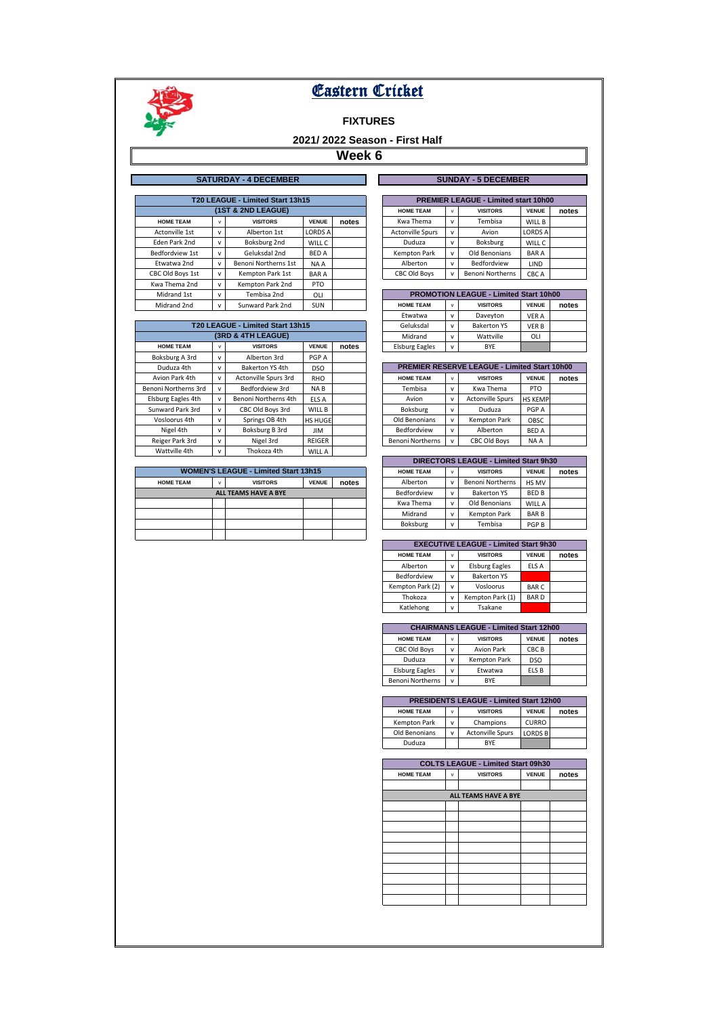

## **FIXTURES**

# **2021/ 2022 Season - First Half**

|                    |                                  | <b>SATURDAY - 4 DECEMBER</b> |                |       |  |                         |              | <b>SUNDAY - 5 DECEMBER</b>                    |                |       |
|--------------------|----------------------------------|------------------------------|----------------|-------|--|-------------------------|--------------|-----------------------------------------------|----------------|-------|
|                    |                                  |                              |                |       |  |                         |              |                                               |                |       |
|                    | T20 LEAGUE - Limited Start 13h15 |                              |                |       |  |                         |              | <b>PREMIER LEAGUE - Limited start 10h00</b>   |                |       |
| (1ST & 2ND LEAGUE) |                                  |                              |                |       |  | <b>HOME TEAM</b>        | v            | <b>VISITORS</b>                               | <b>VENUE</b>   | notes |
| <b>HOME TEAM</b>   | $\mathsf{v}$                     | <b>VISITORS</b>              | <b>VENUE</b>   | notes |  | Kwa Thema               | v            | Tembisa                                       | WILL B         |       |
| Actonville 1st     | $\mathsf{v}$                     | Alberton 1st                 | <b>LORDS A</b> |       |  | <b>Actonville Spurs</b> | v            | Avion                                         | <b>LORDS A</b> |       |
| Eden Park 2nd      | v                                | Boksburg 2nd                 | WILL C         |       |  | Duduza                  | v            | Boksburg                                      | WILL C         |       |
| Bedfordview 1st    | v                                | Geluksdal 2nd                | <b>BED A</b>   |       |  | Kempton Park            | v            | Old Benonians                                 | <b>BARA</b>    |       |
| Etwatwa 2nd        | $\mathsf{v}$                     | Benoni Northerns 1st         | NA A           |       |  | Alberton                | v            | Bedfordview                                   | <b>LIND</b>    |       |
| CBC Old Boys 1st   | $\mathsf{v}$                     | Kempton Park 1st             | <b>BARA</b>    |       |  | <b>CBC Old Boys</b>     | v            | <b>Benoni Northerns</b>                       | CBC A          |       |
| Kwa Thema 2nd      | $\mathsf{v}$                     | Kempton Park 2nd             | <b>PTO</b>     |       |  |                         |              |                                               |                |       |
| Midrand 1st        | v                                | Tembisa 2nd                  | OLI            |       |  |                         |              | <b>PROMOTION LEAGUE - Limited Start 10h00</b> |                |       |
| Midrand 2nd        | v                                | Sunward Park 2nd             | <b>SUN</b>     |       |  | <b>HOME TEAM</b>        | $\mathsf{v}$ | <b>VISITORS</b>                               | <b>VENUE</b>   | notes |

|                      |              |                                  |                 |       | Etwatwa                 | v | paveyton                                            | VER A          |       |
|----------------------|--------------|----------------------------------|-----------------|-------|-------------------------|---|-----------------------------------------------------|----------------|-------|
|                      |              | T20 LEAGUE - Limited Start 13h15 |                 |       | Geluksdal               | v | <b>Bakerton YS</b>                                  | <b>VER B</b>   |       |
|                      |              | (3RD & 4TH LEAGUE)               |                 |       | Midrand                 | v | Wattville                                           | OLI            |       |
| <b>HOME TEAM</b>     | $\mathsf{v}$ | <b>VISITORS</b>                  | <b>VENUE</b>    | notes | <b>Elsburg Eagles</b>   | v | <b>BYE</b>                                          |                |       |
| Boksburg A 3rd       | v            | Alberton 3rd                     | PGP A           |       |                         |   |                                                     |                |       |
| Duduza 4th           | $\mathsf{v}$ | Bakerton YS 4th                  | <b>DSO</b>      |       |                         |   | <b>PREMIER RESERVE LEAGUE - Limited Start 10h00</b> |                |       |
| Avion Park 4th       | v            | Actonville Spurs 3rd             | <b>RHO</b>      |       | <b>HOME TEAM</b>        | v | <b>VISITORS</b>                                     | <b>VENUE</b>   | notes |
| Benoni Northerns 3rd | v            | Bedfordview 3rd                  | NA <sub>B</sub> |       | Tembisa                 | v | Kwa Thema                                           | <b>PTO</b>     |       |
| Elsburg Eagles 4th   | v            | Benoni Northerns 4th             | ELS A           |       | Avion                   | v | <b>Actonville Spurs</b>                             | <b>HS KEMP</b> |       |
| Sunward Park 3rd     | $\mathsf{v}$ | CBC Old Boys 3rd                 | WILL B          |       | Boksburg                | v | Duduza                                              | PGP A          |       |
| Vosloorus 4th        | $\mathsf{v}$ | Springs OB 4th                   | <b>HS HUGE</b>  |       | Old Benonians           | v | Kempton Park                                        | OBSC           |       |
| Nigel 4th            | v            | Boksburg B 3rd                   | JIM             |       | Bedfordview             | v | Alberton                                            | <b>BED A</b>   |       |
| Reiger Park 3rd      | v            | Nigel 3rd                        | <b>REIGER</b>   |       | <b>Benoni Northerns</b> |   | <b>CBC Old Boys</b>                                 | NA A           |       |
| Wattville 4th        | $\mathsf{v}$ | Thokoza 4th                      | WILL A          |       |                         |   |                                                     |                |       |

|                  | <b>WOMEN'S LEAGUE - Limited Start 13h15</b> |                             |              |       |  |             | $\mathsf{v}$ | <b>VISITORS</b>         | <b>VENUE</b> |
|------------------|---------------------------------------------|-----------------------------|--------------|-------|--|-------------|--------------|-------------------------|--------------|
| <b>HOME TEAM</b> | $\mathsf{v}$                                | <b>VISITORS</b>             | <b>VENUE</b> | notes |  | Alberton    | v            | <b>Benoni Northerns</b> | HS MV        |
|                  |                                             | <b>ALL TEAMS HAVE A BYE</b> |              |       |  | Bedfordview | v            | <b>Bakerton YS</b>      | <b>BED B</b> |
|                  |                                             |                             |              |       |  | Kwa Thema   | $\mathsf{v}$ | Old Benonians           | WILL A       |
|                  |                                             |                             |              |       |  | Midrand     | v            | <b>Kempton Park</b>     | <b>BARB</b>  |
|                  |                                             |                             |              |       |  | Boksburg    | v            | Tembisa                 | <b>PGPB</b>  |
|                  |                                             |                             |              |       |  |             |              |                         |              |

|  |  |  |  |  | <b>SUNDAY - 5 DECEMBER</b> |  |
|--|--|--|--|--|----------------------------|--|
|--|--|--|--|--|----------------------------|--|

| <b>PREMIER LEAGUE - Limited start 10h00</b> |   |                         |                |       |  |  |  |  |  |  |  |
|---------------------------------------------|---|-------------------------|----------------|-------|--|--|--|--|--|--|--|
| <b>HOME TEAM</b>                            | v | <b>VISITORS</b>         | <b>VENUE</b>   | notes |  |  |  |  |  |  |  |
| Kwa Thema                                   | v | Tembisa                 | WILL B         |       |  |  |  |  |  |  |  |
| <b>Actonville Spurs</b>                     | v | Avion                   | <b>LORDS A</b> |       |  |  |  |  |  |  |  |
| Duduza                                      | v | Boksburg                | WILL C         |       |  |  |  |  |  |  |  |
| <b>Kempton Park</b>                         | v | Old Benonians           | <b>BARA</b>    |       |  |  |  |  |  |  |  |
| Alberton                                    |   | Bedfordview             | LIND           |       |  |  |  |  |  |  |  |
| <b>CBC Old Boys</b><br>v                    |   | <b>Benoni Northerns</b> | CBC A          |       |  |  |  |  |  |  |  |

| <b>PROMOTION LEAGUE - Limited Start 10h00</b> |   |                    |              |       |  |  |  |  |  |  |
|-----------------------------------------------|---|--------------------|--------------|-------|--|--|--|--|--|--|
| <b>HOME TEAM</b>                              | v | <b>VISITORS</b>    | <b>VENUE</b> | notes |  |  |  |  |  |  |
| Etwatwa                                       | v | Daveyton           | <b>VER A</b> |       |  |  |  |  |  |  |
| Geluksdal                                     | v | <b>Bakerton YS</b> | <b>VERB</b>  |       |  |  |  |  |  |  |
| Midrand                                       | v | Wattville          | OLI          |       |  |  |  |  |  |  |
| <b>Elsburg Eagles</b>                         | v | <b>RYF</b>         |              |       |  |  |  |  |  |  |

| <b>PREMIER RESERVE LEAGUE - Limited Start 10h00</b> |   |                         |                |       |  |  |
|-----------------------------------------------------|---|-------------------------|----------------|-------|--|--|
| <b>HOME TEAM</b>                                    | v | <b>VISITORS</b>         | <b>VENUE</b>   | notes |  |  |
| Tembisa                                             | v | Kwa Thema               | <b>PTO</b>     |       |  |  |
| Avion                                               | v | <b>Actonville Spurs</b> | <b>HS KEMP</b> |       |  |  |
| Boksburg                                            | v | Duduza                  | PGP A          |       |  |  |
| Old Benonians                                       | v | <b>Kempton Park</b>     | OBSC           |       |  |  |
| Bedfordview                                         | v | Alberton                | <b>BED A</b>   |       |  |  |
| <b>Benoni Northerns</b>                             | v | <b>CBC Old Boys</b>     | NA A           |       |  |  |

| <b>DIRECTORS LEAGUE - Limited Start 9h30</b> |              |                         |               |       |  |  |
|----------------------------------------------|--------------|-------------------------|---------------|-------|--|--|
| <b>HOME TEAM</b>                             | v            | <b>VISITORS</b>         | <b>VENUE</b>  | notes |  |  |
| Alberton                                     | v            | <b>Benoni Northerns</b> | HS MV         |       |  |  |
| Bedfordview                                  | $\mathsf{v}$ | <b>Bakerton YS</b>      | <b>BED B</b>  |       |  |  |
| Kwa Thema                                    | v            | Old Benonians           | <b>WILL A</b> |       |  |  |
| Midrand                                      | v            | <b>Kempton Park</b>     | <b>BARB</b>   |       |  |  |
| Boksburg                                     | v            | Tembisa                 | PGP B         |       |  |  |

| <b>EXECUTIVE LEAGUE - Limited Start 9h30</b> |              |                       |              |       |  |  |
|----------------------------------------------|--------------|-----------------------|--------------|-------|--|--|
| <b>HOME TEAM</b>                             | $\mathsf{v}$ | <b>VISITORS</b>       | <b>VENUE</b> | notes |  |  |
| Alberton                                     | v            | <b>Elsburg Eagles</b> | <b>ELS A</b> |       |  |  |
| Bedfordview                                  | $\mathbf{v}$ | <b>Bakerton YS</b>    |              |       |  |  |
| Kempton Park (2)                             | $\mathbf{v}$ | Vosloorus             | <b>BARC</b>  |       |  |  |
| Thokoza                                      | v            | Kempton Park (1)      | <b>BARD</b>  |       |  |  |
| Katlehong                                    | $\mathbf{v}$ | Tsakane               |              |       |  |  |

| <b>CHAIRMANS LEAGUE - Limited Start 12h00</b> |              |                     |              |       |  |  |
|-----------------------------------------------|--------------|---------------------|--------------|-------|--|--|
| <b>HOME TEAM</b>                              | $\mathsf{v}$ | <b>VISITORS</b>     | <b>VENUE</b> | notes |  |  |
| CBC Old Boys                                  | v            | <b>Avion Park</b>   | CBC B        |       |  |  |
| Duduza                                        | v            | <b>Kempton Park</b> | <b>DSO</b>   |       |  |  |
| <b>Elsburg Eagles</b>                         | v            | Etwatwa             | ELS B        |       |  |  |
| <b>Benoni Northerns</b>                       | v            | <b>BYE</b>          |              |       |  |  |

| <b>PRESIDENTS LEAGUE - Limited Start 12h00</b> |              |                         |                |       |  |  |
|------------------------------------------------|--------------|-------------------------|----------------|-------|--|--|
| <b>HOME TEAM</b>                               | $\mathbf{v}$ | <b>VISITORS</b>         | <b>VENUE</b>   | notes |  |  |
| Kempton Park                                   | $\mathbf{v}$ | Champions               | <b>CURRO</b>   |       |  |  |
| Old Benonians                                  | v            | <b>Actonville Spurs</b> | <b>LORDS B</b> |       |  |  |
| Duduza                                         |              | <b>RYF</b>              |                |       |  |  |

| COLTS LEAGUE - Limited Start 09h30 |                             |                 |              |       |  |  |  |  |
|------------------------------------|-----------------------------|-----------------|--------------|-------|--|--|--|--|
| <b>HOME TEAM</b>                   | $\mathsf{v}$                | <b>VISITORS</b> | <b>VENUE</b> | notes |  |  |  |  |
|                                    |                             |                 |              |       |  |  |  |  |
|                                    | <b>ALL TEAMS HAVE A BYE</b> |                 |              |       |  |  |  |  |
|                                    |                             |                 |              |       |  |  |  |  |
|                                    |                             |                 |              |       |  |  |  |  |
|                                    |                             |                 |              |       |  |  |  |  |
|                                    |                             |                 |              |       |  |  |  |  |
|                                    |                             |                 |              |       |  |  |  |  |
|                                    |                             |                 |              |       |  |  |  |  |
|                                    |                             |                 |              |       |  |  |  |  |
|                                    |                             |                 |              |       |  |  |  |  |
|                                    |                             |                 |              |       |  |  |  |  |
|                                    |                             |                 |              |       |  |  |  |  |